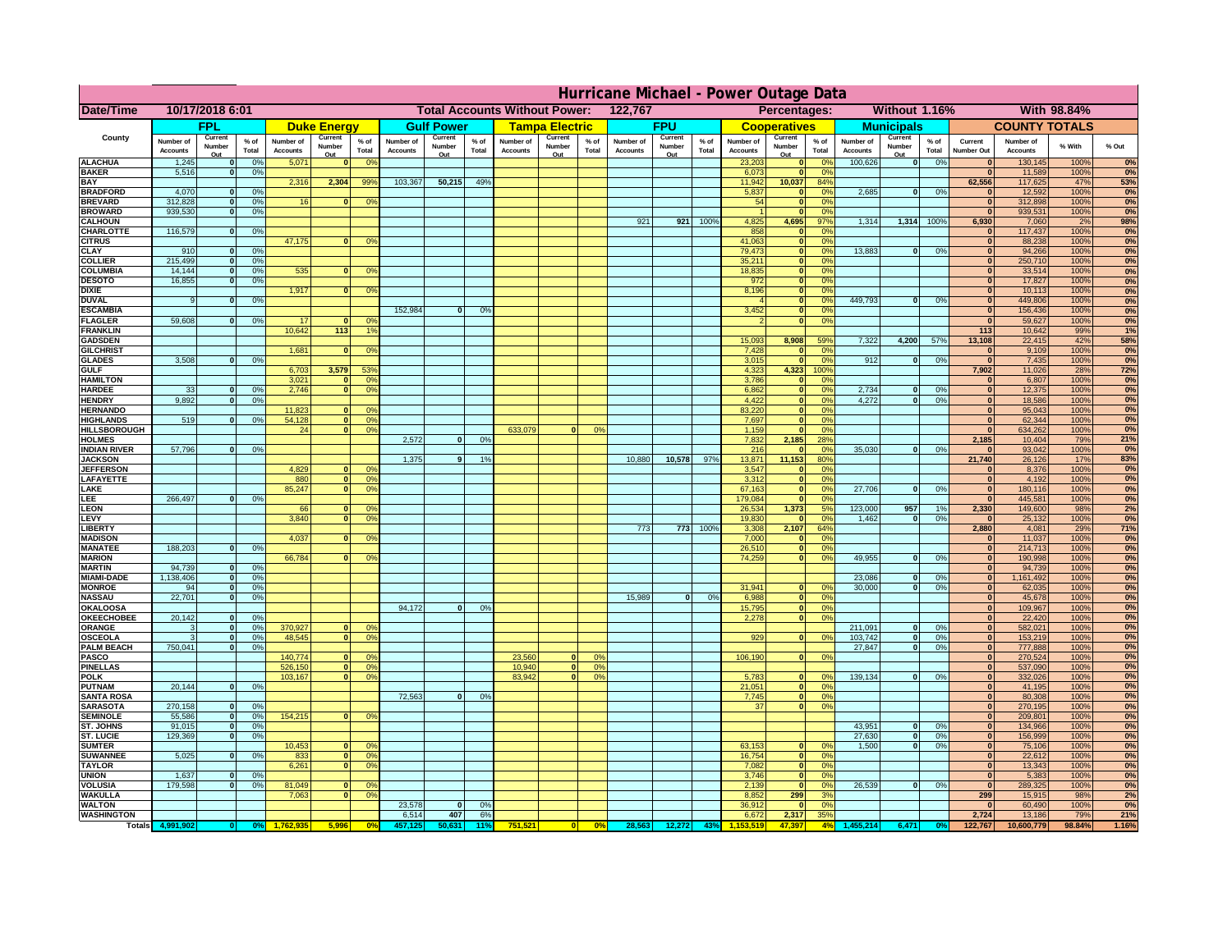|                                      | Hurricane Michael - Power Outage Data |                          |                                  |                              |                     |                                                 |                              |                   |                 |                              |                                              |                 |                              |                   |                 |                              |                              |                      |                              |                   |                 |                              |                              |               |              |
|--------------------------------------|---------------------------------------|--------------------------|----------------------------------|------------------------------|---------------------|-------------------------------------------------|------------------------------|-------------------|-----------------|------------------------------|----------------------------------------------|-----------------|------------------------------|-------------------|-----------------|------------------------------|------------------------------|----------------------|------------------------------|-------------------|-----------------|------------------------------|------------------------------|---------------|--------------|
| <b>Date/Time</b>                     | 10/17/2018 6:01                       |                          |                                  |                              |                     | 122,767<br><b>Total Accounts Without Power:</b> |                              |                   |                 |                              | Without 1.16%<br>With 98.84%<br>Percentages: |                 |                              |                   |                 |                              |                              |                      |                              |                   |                 |                              |                              |               |              |
|                                      |                                       | <b>FPL</b>               |                                  |                              | <b>Duke Energy</b>  |                                                 |                              | <b>Gulf Power</b> |                 |                              | <b>Tampa Electric</b>                        |                 |                              | <b>FPU</b>        |                 |                              | <b>Cooperatives</b>          |                      |                              | <b>Municipals</b> |                 |                              | <b>COUNTY TOTALS</b>         |               |              |
| County                               | Number of<br><b>Accounts</b>          | Current<br>Number        | % of<br>Total                    | Number of<br><b>Accounts</b> | Current<br>Number   | $%$ of<br>Total                                 | Number of<br><b>Accounts</b> | Current<br>Number | $%$ of<br>Total | Number of<br><b>Accounts</b> | Current<br>Number                            | $%$ of<br>Total | Number of<br><b>Accounts</b> | Current<br>Number | $%$ of<br>Total | Number of<br><b>Accounts</b> | Current<br>Number            | $%$ of<br>Total      | Number of<br><b>Accounts</b> | Current<br>Number | $%$ of<br>Total | Current<br><b>Number Out</b> | Number of<br><b>Accounts</b> | % With        | % Out        |
| <b>ALACHUA</b>                       | 1,245                                 | Out                      | 0 <sup>9</sup>                   | 5,071                        | Out<br>$\bf{0}$     | 0 <sup>9</sup>                                  |                              | Out               |                 |                              | Out                                          |                 |                              | Out               |                 | 23,203                       | Out<br>$\mathbf{0}$          | 0 <sup>9</sup>       | 100,626                      | Out<br> 0         | 0%              | $\bf{0}$                     | 130,145                      | 100%          | 0%           |
| <b>BAKER</b>                         | 5,516                                 |                          | 0%                               |                              |                     |                                                 |                              |                   |                 |                              |                                              |                 |                              |                   |                 | 6,073                        | ō                            | 0%                   |                              |                   |                 | $\mathbf{0}$                 | 11,589                       | 100%          | 0%           |
| <b>BAY</b><br><b>BRADFORD</b>        | 4,070                                 |                          | 0%                               | 2,316                        | 2,304               | 99%                                             | 103,367                      | 50,215            | 49%             |                              |                                              |                 |                              |                   |                 | 11,942<br>5,837              | 10,037<br>$\mathbf{0}$       | 84%<br>0%            | 2,685                        | 0                 | 0%              | 62,556<br>$\bf{0}$           | 117,625<br>12,592            | 47%<br>100%   | 53%<br>0%    |
| <b>BREVARD</b>                       | 312,828                               |                          | 0 <sup>9</sup>                   | 16                           | $\mathbf{0}$        | 0%                                              |                              |                   |                 |                              |                                              |                 |                              |                   |                 | 54                           | $\mathbf{0}$                 | 0%                   |                              |                   |                 | $\mathbf{0}$                 | 312,898                      | 100%          | 0%           |
| <b>BROWARD</b>                       | 939.530                               |                          | 0 <sup>9</sup>                   |                              |                     |                                                 |                              |                   |                 |                              |                                              |                 |                              |                   |                 |                              | $\mathbf{0}$                 | 0%                   |                              |                   |                 | $\bf{0}$                     | 939,531                      | 100%          | 0%           |
| <b>CALHOUN</b>                       |                                       |                          |                                  |                              |                     |                                                 |                              |                   |                 |                              |                                              |                 | 921                          | 921               | 100%            | 4,825                        | 4,695                        | 97%                  | 1,314                        | 1,314 100%        |                 | 6,930                        | 7,060                        | 2%            | 98%          |
| CHARLOTTE<br><b>CITRUS</b>           | 116,579                               |                          | 0%                               | 47,175                       | $\bf{0}$            | 0 <sup>9</sup>                                  |                              |                   |                 |                              |                                              |                 |                              |                   |                 | 858<br>41,063                | $\mathbf{0}$<br>$\mathbf{0}$ | 0%<br>0 <sup>9</sup> |                              |                   |                 | $\bf{0}$<br>$\bf{0}$         | 117,437<br>88,238            | 100%<br>100%  | 0%<br>0%     |
| <b>CLAY</b>                          | 910                                   |                          | 0 <sup>9</sup>                   |                              |                     |                                                 |                              |                   |                 |                              |                                              |                 |                              |                   |                 | 79,473                       | $\mathbf{0}$                 | 0 <sup>9</sup>       | 13,883                       | $\mathbf{0}$      | 0%              | $\bf{0}$                     | 94,266                       | 100%          | 0%           |
| <b>COLLIER</b>                       | 215,499                               |                          | 0 <sup>9</sup>                   |                              |                     |                                                 |                              |                   |                 |                              |                                              |                 |                              |                   |                 | 35,211                       | $\mathbf{0}$                 | 0%                   |                              |                   |                 | $\bf{0}$                     | 250,710                      | 100%          | 0%           |
| <b>COLUMBIA</b>                      | 14,144<br>16,855                      |                          | 0 <sup>9</sup><br>0 <sup>9</sup> | 535                          | $\bf{0}$            | 0 <sup>9</sup>                                  |                              |                   |                 |                              |                                              |                 |                              |                   |                 | 18,835<br>972                | ō<br>ō                       | 0%<br>0%             |                              |                   |                 | $\bf{0}$<br>$\bf{0}$         | 33,514<br>17,827             | 100%<br>100%  | 0%<br>0%     |
| <b>DESOTO</b><br><b>DIXIE</b>        |                                       |                          |                                  | 1,917                        | $\mathbf{0}$        | 0 <sup>o</sup>                                  |                              |                   |                 |                              |                                              |                 |                              |                   |                 | 8,196                        | $\mathbf{0}$                 | nº                   |                              |                   |                 | $\bf{0}$                     | 10,113                       | 100%          | 0%           |
| <b>DUVAL</b>                         |                                       |                          | 0%                               |                              |                     |                                                 |                              |                   |                 |                              |                                              |                 |                              |                   |                 |                              | $\mathbf{0}$                 | 0%                   | 449.793                      | ol                | 0%              | $\Omega$                     | 449,806                      | 100%          | 0%           |
| <b>ESCAMBIA</b>                      |                                       |                          |                                  |                              |                     |                                                 | 152,984                      | $\bf{0}$          | 0 <sup>9</sup>  |                              |                                              |                 |                              |                   |                 | 3,452                        | $\mathbf{0}$                 | 0%                   |                              |                   |                 | $\mathbf{0}$                 | 156,436                      | 100%          | 0%           |
| <b>FLAGLER</b>                       | 59,608                                |                          | 0%                               | 17                           | $\mathbf{r}$        | 0 <sup>9</sup><br>$\overline{1}$                |                              |                   |                 |                              |                                              |                 |                              |                   |                 |                              | $\bullet$                    | 0%                   |                              |                   |                 | $\overline{0}$               | 59,627                       | 100%          | 0%           |
| <b>FRANKLIN</b><br><b>GADSDEN</b>    |                                       |                          |                                  | 10,642                       | $\boxed{113}$       |                                                 |                              |                   |                 |                              |                                              |                 |                              |                   |                 | 15,093                       | 8,908                        | 59%                  | 7,322                        | 4,200             | 57%             | $113$<br>13,108              | 10,642<br>22,415             | 99%<br>42%    | 1%<br>58%    |
| <b>GILCHRIST</b>                     |                                       |                          |                                  | 1,681                        | $\Omega$            | 0 <sup>9</sup>                                  |                              |                   |                 |                              |                                              |                 |                              |                   |                 | 7,428                        | $\mathbf{0}$                 | 0%                   |                              |                   |                 | $\mathbf{0}$                 | 9,109                        | 100%          | 0%           |
| <b>GLADES</b>                        | 3,508                                 |                          | 0 <sup>9</sup>                   |                              |                     |                                                 |                              |                   |                 |                              |                                              |                 |                              |                   |                 | 3,015                        | $\bullet$                    | 0%                   | 912                          | 0                 | 0%              | 0                            | 7,435                        | 100%          | 0%           |
| <b>GULF</b>                          |                                       |                          |                                  | 6,703                        | 3,579               | 53%                                             |                              |                   |                 |                              |                                              |                 |                              |                   |                 | 4,323                        | 4,323                        | 100%                 |                              |                   |                 | 7,902                        | 11,026                       | 28%           | 72%          |
| <b>HAMILTON</b><br><b>HARDEE</b>     | 33                                    |                          | 0%                               | 3,021<br>2.746               | $\mathbf{a}$<br>n l | 0 <sup>9</sup><br>0 <sup>9</sup>                |                              |                   |                 |                              |                                              |                 |                              |                   |                 | 3,786<br>6.862               | $\mathbf{0}$<br> 0           | 0%<br>0%             | 2.734                        | $\mathbf{0}$      | 0%              | $\Omega$<br> 0               | 6,807<br>12,375              | 100%<br>100%  | 0%           |
| <b>HENDRY</b>                        | 9,892                                 |                          | 0 <sup>9</sup>                   |                              |                     |                                                 |                              |                   |                 |                              |                                              |                 |                              |                   |                 | 4,422                        | 0                            | 0%                   | 4,272                        | $\Omega$          | 0%              | 0                            | 18,586                       | 100%          | 0%<br>0%     |
| <b>HERNANDO</b>                      |                                       |                          |                                  | 11,823                       | $\mathbf{0}$        | 0 <sup>9</sup>                                  |                              |                   |                 |                              |                                              |                 |                              |                   |                 | 83,220                       | 0                            | 0%                   |                              |                   |                 | $\mathbf{0}$                 | 95,043                       | 100%          | 0%           |
| <b>HIGHLANDS</b>                     | 519                                   |                          | 0 <sup>9</sup>                   | 54,128                       |                     | $\mathbf{0}$<br>0%                              |                              |                   |                 |                              |                                              |                 |                              |                   |                 | 7,697                        | 0                            | 0%                   |                              |                   |                 | $\mathbf{0}$                 | 62,344                       | 100%          | 0%           |
| HILLSBOROUGH                         |                                       |                          |                                  | 24                           |                     | $\mathbf{0}$<br>0%                              |                              |                   |                 | 633,079                      | $\Omega$                                     | 0%              |                              |                   |                 | 1,159                        | $\mathbf{0}$                 | 0%                   |                              |                   |                 | $\mathbf{0}$                 | 634,262                      | 100%          | 0%           |
| <b>HOLMES</b><br><b>INDIAN RIVER</b> | 57,796                                |                          | 0%                               |                              |                     |                                                 | 2.572                        | $\Omega$          | 0%              |                              |                                              |                 |                              |                   |                 | 7,832<br>216                 | 2,185<br>$\mathbf{0}$        | 28%<br>0%            | 35.030                       | $\mathbf{0}$      | 0%              | 2,185<br>$\mathbf{0}$        | 10,404<br>93,042             | 79%<br>100%   | 21%<br>0%    |
| <b>JACKSON</b>                       |                                       |                          |                                  |                              |                     |                                                 | 1,375                        | 9 <sup>1</sup>    | 1%              |                              |                                              |                 | 10,880                       | 10,578            | 97%             | 13.871                       | 11.153                       | 80%                  |                              |                   |                 | 21.740                       | 26,126                       | 17%           | 83%          |
| <b>JEFFERSON</b>                     |                                       |                          |                                  | 4.829                        | ΩI                  | 0 <sup>9</sup>                                  |                              |                   |                 |                              |                                              |                 |                              |                   |                 | 3.547                        | $\mathbf{0}$                 | 0%                   |                              |                   |                 | $\mathbf{0}$                 | 8.376                        | 100%          | 0%           |
| LAFAYETTE                            |                                       |                          |                                  | 880                          |                     | 0%<br>$\overline{0}$                            |                              |                   |                 |                              |                                              |                 |                              |                   |                 | 3.312                        | $\mathbf{0}$                 | 0%                   |                              |                   |                 | 0                            | 4.192                        | 100%          | 0%           |
| LAKE                                 |                                       |                          |                                  | 85,247                       | <sub>0</sub>        | 0%                                              |                              |                   |                 |                              |                                              |                 |                              |                   |                 | 67,163                       | $\mathbf{0}$                 | 0%                   | 27,706                       | $\Omega$          | 0%              | 0                            | 180,116                      | 100%          | 0%<br>0%     |
| LEE<br>LEON                          | 266,497                               |                          | 0%                               | 66                           | $\Omega$            | O <sup>9</sup>                                  |                              |                   |                 |                              |                                              |                 |                              |                   |                 | 179,084<br>26,534            | $\mathbf 0$<br>1,373         | 0%<br>5%             | 123,000                      | 957               | 1%              | 0 <br>2,330                  | 445,581<br>149,600           | 100%<br>98%   | 2%           |
| LEVY                                 |                                       |                          |                                  | 3,840                        | $\Omega$            | 0 <sup>9</sup>                                  |                              |                   |                 |                              |                                              |                 |                              |                   |                 | 19,830                       | $\mathbf{0}$                 | 0%                   | 1,462                        | $\mathbf{0}$      | 0%              | 0                            | 25,132                       | 100%          | 0%           |
| LIBERTY                              |                                       |                          |                                  |                              |                     |                                                 |                              |                   |                 |                              |                                              |                 | 773                          | 773               | 100%            | 3,308                        | 2,107                        | 64%                  |                              |                   |                 | 2,880                        | 4,081                        | 29%           | 71%          |
| <b>MADISON</b>                       |                                       |                          |                                  | 4,037                        | <sup>o</sup>        | 0 <sup>9</sup>                                  |                              |                   |                 |                              |                                              |                 |                              |                   |                 | 7,000                        | $\mathbf{0}$                 | 0%                   |                              |                   |                 | $\mathbf{0}$                 | 11,037                       | 100%          | 0%           |
| <b>MANATEE</b><br><b>MARION</b>      | 188,203                               | $\Omega$                 | 0%                               | 66,784                       |                     | 0°                                              |                              |                   |                 |                              |                                              |                 |                              |                   |                 | 26,510<br>74,259             | 0 <br> 0                     | 0%<br>0%             | 49,955                       | $\Omega$          | 0%              | 0 <br> 0                     | 214,713<br>190,998           | 100%<br>100%  | 0%<br>0%     |
| <b>MARTIN</b>                        | 94,739                                | $\Omega$                 | 0 <sup>9</sup>                   |                              |                     |                                                 |                              |                   |                 |                              |                                              |                 |                              |                   |                 |                              |                              |                      |                              |                   |                 | 0                            | 94,739                       | 100%          | 0%           |
| <b>MIAMI-DADE</b>                    | 1,138,406                             | $\mathbf{o}$             | 0 <sup>9</sup>                   |                              |                     |                                                 |                              |                   |                 |                              |                                              |                 |                              |                   |                 |                              |                              |                      | 23,086                       | $\mathbf 0$       | 0%              | 0                            | 1,161,492                    | 100%          | 0%           |
| <b>MONROE</b>                        | 94                                    | 0                        | 0%                               |                              |                     |                                                 |                              |                   |                 |                              |                                              |                 |                              |                   |                 | 31,941                       | $\mathbf{0}$                 | 0 <sup>9</sup>       | 30,000                       | $\mathbf{0}$      | 0%              | 0                            | 62,035                       | 100%          | 0%           |
| <b>NASSAU</b>                        | 22,701                                | $\Omega$                 | 0%                               |                              |                     |                                                 | 94,172                       |                   |                 |                              |                                              |                 | 15,989                       | 0                 | 0%              | 6,988                        | 0                            | 0%                   |                              |                   |                 | 0                            | 45,678                       | 100%          | 0%<br>0%     |
| OKALOOSA<br><b>OKEECHOBEE</b>        | 20,142                                |                          | 0 <sup>9</sup>                   |                              |                     |                                                 |                              | $\bf{0}$          | 0%              |                              |                                              |                 |                              |                   |                 | 15,795<br>2,278              | 0 <br> 0                     | 0%<br>0%             |                              |                   |                 | 0 <br> 0                     | 109,967<br>22,420            | 100%<br>100%  | 0%           |
| ORANGE                               |                                       | $\Omega$                 | 0 <sup>9</sup>                   | 370,927                      | $\Omega$            | 0 <sup>6</sup>                                  |                              |                   |                 |                              |                                              |                 |                              |                   |                 |                              |                              |                      | 211,091                      | $\mathbf{0}$      | 0%              | 0                            | 582,021                      | 100%          | 0%           |
| <b>OSCEOLA</b>                       |                                       | $\Omega$                 | 0 <sup>9</sup>                   | 48,545                       | $\Omega$            | $\overline{0}$                                  |                              |                   |                 |                              |                                              |                 |                              |                   |                 | 929                          | 0                            | 0 <sup>9</sup>       | 103,742                      | 0                 | 0%              | 0                            | 153,219                      | 100%          | 0%           |
| <b>PALM BEACH</b>                    | 750,041                               | $\Omega$                 | 0 <sup>9</sup>                   |                              |                     |                                                 |                              |                   |                 |                              |                                              |                 |                              |                   |                 |                              |                              |                      | 27,847                       | $\overline{0}$    | 0%              | 0                            | 777,888                      | 100%          | 0%           |
| PASCO<br><b>PINELLAS</b>             |                                       |                          |                                  | 140,774<br>526,150           | $\Omega$            | 0 <sup>6</sup><br>0 <sup>9</sup><br> 0          |                              |                   |                 | 23,560<br>10,940             | $\Omega$<br>$\overline{\mathbf{0}}$          | 0%<br>0%        |                              |                   |                 | 106,190                      | 0                            | 0%                   |                              |                   |                 | 0 <br>$\mathbf{0}$           | 270,524<br>537,090           | 100%<br>100%  | 0%<br>0%     |
| <b>POLK</b>                          |                                       |                          |                                  | 103,167                      |                     | 0 <sup>9</sup><br> 0                            |                              |                   |                 | 83,942                       | 0                                            | 0%              |                              |                   |                 | 5,783                        | 0                            | nº                   | 139,134                      | 0                 | 0%              | 0                            | 332,026                      | 100%          | 0%           |
| <b>PUTNAM</b>                        | 20,144                                | $\mathbf{0}$             | 0%                               |                              |                     |                                                 |                              |                   |                 |                              |                                              |                 |                              |                   |                 | 21,051                       | 0                            | 0%                   |                              |                   |                 | $\bf{0}$                     | 41,195                       | 100%          | 0%           |
| <b>SANTA ROSA</b>                    |                                       |                          |                                  |                              |                     |                                                 | 72,563                       | 0                 | 0%              |                              |                                              |                 |                              |                   |                 | 7,745                        | 0                            | 0%                   |                              |                   |                 | $\mathbf{0}$                 | 80,308                       | 100%          | 0%           |
| <b>SARASOTA</b><br><b>SEMINOLE</b>   | 270,158<br>55,586                     | $\Omega$<br>$\mathbf{0}$ | 0%<br>0 <sup>9</sup>             | 154,215                      |                     | $\mathbf{0}$<br>0 <sup>9</sup>                  |                              |                   |                 |                              |                                              |                 |                              |                   |                 | 37                           | 0                            | 0%                   |                              |                   |                 | $\mathbf{0}$<br>$\mathbf{0}$ | 270,195<br>209,801           | 100%<br>100%  | 0%<br>0%     |
| <b>ST. JOHNS</b>                     | 91.015                                | $\Omega$                 | 0%                               |                              |                     |                                                 |                              |                   |                 |                              |                                              |                 |                              |                   |                 |                              |                              |                      | 43,951                       | -ol               | 0%              | 0                            | 134,966                      | 100%          | 0%           |
| <b>ST. LUCIE</b>                     | 129.369                               | $\Omega$                 | 0%                               |                              |                     |                                                 |                              |                   |                 |                              |                                              |                 |                              |                   |                 |                              |                              |                      | 27.630                       | - O I             | 0%              | 0                            | 156.999                      | 100%          | 0%           |
| <b>SUMTER</b>                        |                                       |                          |                                  | 10,453                       | $\mathbf{0}$        | $\Omega$                                        |                              |                   |                 |                              |                                              |                 |                              |                   |                 | 63,153                       | $\mathbf{0}$                 | 0%                   | 1.500                        | 0                 | 0%              | $\overline{0}$               | 75,106                       | 100%          | 0%           |
| <b>SUWANNEE</b>                      | 5,025                                 | $\Omega$                 | 0%                               | 833                          |                     | 0 <sup>9</sup><br> 0                            |                              |                   |                 |                              |                                              |                 |                              |                   |                 | 16,754                       | 0                            | 0%                   |                              |                   |                 | $\mathbf{0}$                 | 22,612                       | 100%          | 0%           |
| <b>TAYLOR</b><br><b>UNION</b>        | 1,637                                 |                          | 0 <sup>9</sup>                   | 6,261                        |                     | 0 <br>0 <sup>9</sup>                            |                              |                   |                 |                              |                                              |                 |                              |                   |                 | 7,082<br>3,746               | 0 <br>$\mathbf 0$            | 0%<br>0%             |                              |                   |                 | $\bf{0}$<br>$\bf{0}$         | 13,343<br>5,383              | 100%<br>100%  | 0%<br>0%     |
| VOLUSIA                              | 179,598                               |                          | 0 <sup>9</sup>                   | 81,049                       | $\mathbf{0}$        | 0 <sup>6</sup>                                  |                              |                   |                 |                              |                                              |                 |                              |                   |                 | 2,139                        | $\mathbf 0$                  | 0%                   | 26,539                       | 0                 | 0%              | 0                            | 289,325                      | 100%          | 0%           |
| <b>WAKULLA</b>                       |                                       |                          |                                  | 7,063                        | $\mathbf{0}$        | 0 <sup>9</sup>                                  |                              |                   |                 |                              |                                              |                 |                              |                   |                 | 8,852                        | 299                          | 3%                   |                              |                   |                 | 299                          | 15,915                       | 98%           | 2%           |
| <b>WALTON</b>                        |                                       |                          |                                  |                              |                     |                                                 | 23,578                       | $\bf{0}$          | 0%              |                              |                                              |                 |                              |                   |                 | 36,912                       | $\mathbf 0$                  | 0%                   |                              |                   |                 | $\mathbf{0}$                 | 60,490                       | 100%          | 0%           |
| <b>WASHINGTON</b>                    |                                       |                          |                                  |                              |                     | 0 <sup>o</sup>                                  | 6,514                        | 407               | 6%<br>11°       | 751,521                      |                                              | 0%              | 28,56                        | 12,272            | 439             | 6,672                        | 2,317<br>47.397              | 35%<br>4%            |                              | 6,471             |                 | 2,724<br>122,767             | 13,186<br>10,600,779         | 79%<br>98.84% | 21%<br>1.16% |
| Totals 4,9                           |                                       |                          |                                  |                              |                     |                                                 |                              |                   |                 |                              |                                              |                 |                              |                   |                 |                              |                              |                      |                              |                   |                 |                              |                              |               |              |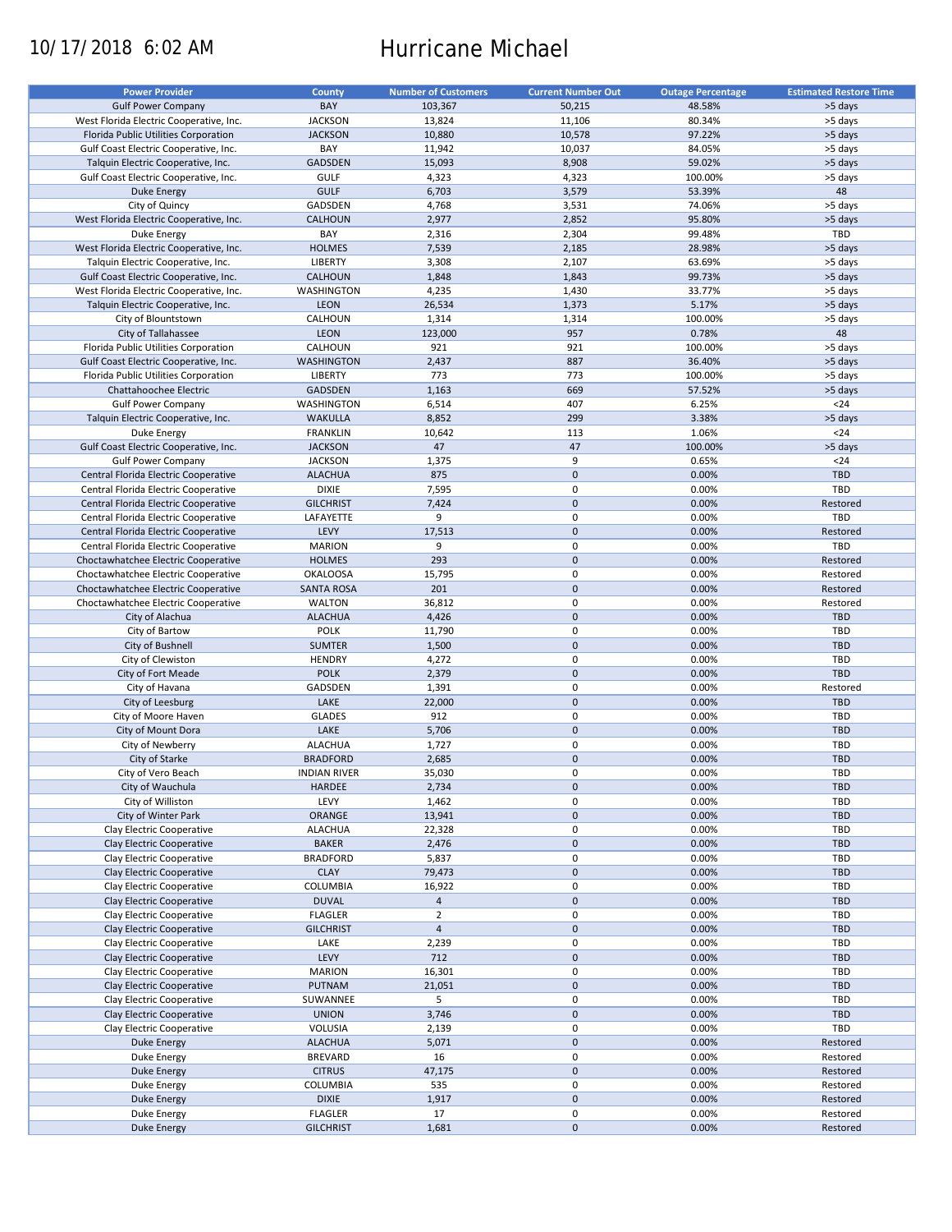# 10/17/2018 6:02 AM Hurricane Michael

| BAY<br>50,215<br><b>Gulf Power Company</b><br>103,367<br>48.58%<br>>5 days<br><b>JACKSON</b><br>13,824<br>80.34%<br>>5 days<br>West Florida Electric Cooperative, Inc.<br>11,106<br><b>JACKSON</b><br>10,578<br>97.22%<br>Florida Public Utilities Corporation<br>10,880<br>>5 days<br>BAY<br>>5 days<br>Gulf Coast Electric Cooperative, Inc.<br>11,942<br>10,037<br>84.05%<br>8,908<br>59.02%<br>Talquin Electric Cooperative, Inc.<br><b>GADSDEN</b><br>15,093<br>>5 days<br>GULF<br>Gulf Coast Electric Cooperative, Inc.<br>4,323<br>4,323<br>100.00%<br>>5 days<br>48<br><b>GULF</b><br>Duke Energy<br>6,703<br>3,579<br>53.39%<br>GADSDEN<br>City of Quincy<br>4,768<br>3,531<br>74.06%<br>>5 days<br>95.80%<br>West Florida Electric Cooperative, Inc.<br><b>CALHOUN</b><br>2,977<br>2,852<br>>5 days<br>BAY<br>2,304<br>99.48%<br>TBD<br>Duke Energy<br>2,316<br><b>HOLMES</b><br>7,539<br>2,185<br>28.98%<br>>5 days<br>West Florida Electric Cooperative, Inc.<br>2,107<br>63.69%<br>Talquin Electric Cooperative, Inc.<br><b>LIBERTY</b><br>3,308<br>>5 days<br>CALHOUN<br>1,843<br>99.73%<br>Gulf Coast Electric Cooperative, Inc.<br>1,848<br>>5 days<br>1,430<br>33.77%<br>West Florida Electric Cooperative, Inc.<br>WASHINGTON<br>4,235<br>>5 days<br>26,534<br>5.17%<br>Talquin Electric Cooperative, Inc.<br><b>LEON</b><br>1,373<br>>5 days<br>City of Blountstown<br>CALHOUN<br>1,314<br>1,314<br>100.00%<br>>5 days<br>48<br><b>LEON</b><br>123,000<br>957<br>0.78%<br>City of Tallahassee<br>921<br>>5 days<br>Florida Public Utilities Corporation<br>CALHOUN<br>921<br>100.00%<br>2,437<br>887<br>36.40%<br>Gulf Coast Electric Cooperative, Inc.<br><b>WASHINGTON</b><br>>5 days<br>LIBERTY<br>773<br>773<br>100.00%<br>Florida Public Utilities Corporation<br>>5 days<br>GADSDEN<br>669<br>57.52%<br>Chattahoochee Electric<br>1,163<br>>5 days<br>6,514<br>407<br>6.25%<br>$24$<br><b>Gulf Power Company</b><br>WASHINGTON<br><b>WAKULLA</b><br>299<br>3.38%<br>Talquin Electric Cooperative, Inc.<br>8,852<br>>5 days<br>10,642<br>113<br>1.06%<br>$24$<br><b>Duke Energy</b><br><b>FRANKLIN</b><br><b>JACKSON</b><br>47<br>47<br>>5 days<br>Gulf Coast Electric Cooperative, Inc.<br>100.00%<br><b>JACKSON</b><br>9<br>0.65%<br>$24$<br><b>Gulf Power Company</b><br>1,375<br>875<br>$\mathbf 0$<br>0.00%<br><b>TBD</b><br>Central Florida Electric Cooperative<br><b>ALACHUA</b><br><b>DIXIE</b><br>7,595<br>$\pmb{0}$<br>0.00%<br>TBD<br>Central Florida Electric Cooperative<br>7,424<br>$\mathbf 0$<br>0.00%<br>Central Florida Electric Cooperative<br><b>GILCHRIST</b><br>Restored<br>$\pmb{0}$<br>TBD<br>9<br>0.00%<br>Central Florida Electric Cooperative<br>LAFAYETTE<br>$\mathbf 0$<br>LEVY<br>17,513<br>0.00%<br>Central Florida Electric Cooperative<br>Restored<br>$\pmb{0}$<br>0.00%<br>TBD<br>Central Florida Electric Cooperative<br><b>MARION</b><br>9<br><b>HOLMES</b><br>293<br>$\mathbf 0$<br>0.00%<br>Restored<br>Choctawhatchee Electric Cooperative<br>15,795<br>$\pmb{0}$<br>0.00%<br>Choctawhatchee Electric Cooperative<br><b>OKALOOSA</b><br>Restored<br>$\mathbf 0$<br><b>SANTA ROSA</b><br>201<br>0.00%<br>Restored<br>Choctawhatchee Electric Cooperative<br>0<br>0.00%<br>Choctawhatchee Electric Cooperative<br><b>WALTON</b><br>36,812<br>Restored<br>$\mathbf 0$<br>0.00%<br><b>ALACHUA</b><br>4,426<br><b>TBD</b><br>City of Alachua<br>$\pmb{0}$<br><b>POLK</b><br>0.00%<br>City of Bartow<br>11,790<br>TBD<br>$\mathbf 0$<br><b>SUMTER</b><br>1,500<br>0.00%<br><b>TBD</b><br>City of Bushnell<br>0<br><b>HENDRY</b><br>0.00%<br>TBD<br>City of Clewiston<br>4,272<br>$\mathbf 0$<br>0.00%<br><b>TBD</b><br><b>POLK</b><br>2,379<br>City of Fort Meade<br>GADSDEN<br>0<br>0.00%<br>City of Havana<br>1,391<br>Restored<br>$\mathbf 0$<br>LAKE<br>0.00%<br><b>TBD</b><br>City of Leesburg<br>22,000<br>0<br><b>GLADES</b><br>912<br>0.00%<br>TBD<br>City of Moore Haven<br>LAKE<br>$\mathbf 0$<br>0.00%<br><b>TBD</b><br>City of Mount Dora<br>5,706<br><b>ALACHUA</b><br>0<br>0.00%<br><b>TBD</b><br>City of Newberry<br>1,727<br>$\pmb{0}$<br>City of Starke<br><b>BRADFORD</b><br>2,685<br>0.00%<br><b>TBD</b><br>$\mathbf 0$<br>35,030<br>0.00%<br>TBD<br>City of Vero Beach<br><b>INDIAN RIVER</b><br>City of Wauchula<br>$\pmb{0}$<br>0.00%<br>TBD<br>HARDEE<br>2,734<br>City of Williston<br>LEVY<br>0<br>TBD<br>1,462<br>0.00%<br>City of Winter Park<br>ORANGE<br>$\mathbf 0$<br>0.00%<br><b>TBD</b><br>13,941<br><b>ALACHUA</b><br>0<br>TBD<br>Clay Electric Cooperative<br>22,328<br>0.00%<br><b>BAKER</b><br>$\mathsf{O}\xspace$<br>0.00%<br>TBD<br>Clay Electric Cooperative<br>2,476<br>0<br><b>BRADFORD</b><br>0.00%<br>TBD<br>Clay Electric Cooperative<br>5,837<br><b>CLAY</b><br>$\mathsf{O}\xspace$<br>0.00%<br>TBD<br>Clay Electric Cooperative<br>79,473<br>COLUMBIA<br>0<br>0.00%<br>Clay Electric Cooperative<br>16,922<br>TBD<br>Clay Electric Cooperative<br><b>DUVAL</b><br>$\mathsf{O}\xspace$<br>0.00%<br><b>TBD</b><br>$\overline{4}$<br><b>FLAGLER</b><br>$\overline{2}$<br>0<br>0.00%<br>Clay Electric Cooperative<br>TBD<br>$\overline{4}$<br>$\pmb{0}$<br>Clay Electric Cooperative<br><b>GILCHRIST</b><br>0.00%<br><b>TBD</b><br>Clay Electric Cooperative<br>2,239<br>0<br>0.00%<br>TBD<br>LAKE<br>$\pmb{0}$<br>LEVY<br>712<br>0.00%<br><b>TBD</b><br>Clay Electric Cooperative<br>$\pmb{0}$<br><b>MARION</b><br>16,301<br>0.00%<br>TBD<br>Clay Electric Cooperative<br>$\pmb{0}$<br>21,051<br>0.00%<br><b>TBD</b><br>Clay Electric Cooperative<br><b>PUTNAM</b><br>5<br>0<br>0.00%<br>TBD<br>Clay Electric Cooperative<br>SUWANNEE<br>$\pmb{0}$<br>3,746<br>0.00%<br>TBD<br>Clay Electric Cooperative<br><b>UNION</b><br>$\pmb{0}$<br>0.00%<br>TBD<br>Clay Electric Cooperative<br>VOLUSIA<br>2,139<br>$\pmb{0}$<br><b>ALACHUA</b><br>5,071<br>0.00%<br>Restored<br>Duke Energy<br>0<br><b>BREVARD</b><br>16<br>0.00%<br>Restored<br>Duke Energy<br>$\pmb{0}$<br><b>CITRUS</b><br>47,175<br>0.00%<br>Restored<br><b>Duke Energy</b><br>COLUMBIA<br>535<br>0<br>0.00%<br>Restored<br>Duke Energy<br>$\pmb{0}$<br><b>DIXIE</b><br>1,917<br>0.00%<br>Restored<br><b>Duke Energy</b><br><b>FLAGLER</b><br>17<br>0<br>0.00%<br>Restored<br>Duke Energy<br>$\pmb{0}$<br><b>GILCHRIST</b><br>1,681<br>0.00%<br>Restored<br>Duke Energy | <b>Power Provider</b> | <b>County</b> | <b>Number of Customers</b> | <b>Current Number Out</b> | <b>Outage Percentage</b> | <b>Estimated Restore Time</b> |
|-----------------------------------------------------------------------------------------------------------------------------------------------------------------------------------------------------------------------------------------------------------------------------------------------------------------------------------------------------------------------------------------------------------------------------------------------------------------------------------------------------------------------------------------------------------------------------------------------------------------------------------------------------------------------------------------------------------------------------------------------------------------------------------------------------------------------------------------------------------------------------------------------------------------------------------------------------------------------------------------------------------------------------------------------------------------------------------------------------------------------------------------------------------------------------------------------------------------------------------------------------------------------------------------------------------------------------------------------------------------------------------------------------------------------------------------------------------------------------------------------------------------------------------------------------------------------------------------------------------------------------------------------------------------------------------------------------------------------------------------------------------------------------------------------------------------------------------------------------------------------------------------------------------------------------------------------------------------------------------------------------------------------------------------------------------------------------------------------------------------------------------------------------------------------------------------------------------------------------------------------------------------------------------------------------------------------------------------------------------------------------------------------------------------------------------------------------------------------------------------------------------------------------------------------------------------------------------------------------------------------------------------------------------------------------------------------------------------------------------------------------------------------------------------------------------------------------------------------------------------------------------------------------------------------------------------------------------------------------------------------------------------------------------------------------------------------------------------------------------------------------------------------------------------------------------------------------------------------------------------------------------------------------------------------------------------------------------------------------------------------------------------------------------------------------------------------------------------------------------------------------------------------------------------------------------------------------------------------------------------------------------------------------------------------------------------------------------------------------------------------------------------------------------------------------------------------------------------------------------------------------------------------------------------------------------------------------------------------------------------------------------------------------------------------------------------------------------------------------------------------------------------------------------------------------------------------------------------------------------------------------------------------------------------------------------------------------------------------------------------------------------------------------------------------------------------------------------------------------------------------------------------------------------------------------------------------------------------------------------------------------------------------------------------------------------------------------------------------------------------------------------------------------------------------------------------------------------------------------------------------------------------------------------------------------------------------------------------------------------------------------------------------------------------------------------------------------------------------------------------------------------------------------------------------------------------------------------------------------------------------------------------------------------------------------------------------------------------------------------------------------------------------------------------------------------------------------------------------------------------------------------------------------------------------------------------------------------------------------------------------------------------------------------------------------------------------------------------------------------------------------------------------------------------------------------------------------------------------------------------------------------------------------------------------------------------------------------------------------------------------------------------------------------------------------------------------------------------------------------------------------------------------------------------------------------------------------------------------------------------------------------------------------------------------------------------------------------------|-----------------------|---------------|----------------------------|---------------------------|--------------------------|-------------------------------|
|                                                                                                                                                                                                                                                                                                                                                                                                                                                                                                                                                                                                                                                                                                                                                                                                                                                                                                                                                                                                                                                                                                                                                                                                                                                                                                                                                                                                                                                                                                                                                                                                                                                                                                                                                                                                                                                                                                                                                                                                                                                                                                                                                                                                                                                                                                                                                                                                                                                                                                                                                                                                                                                                                                                                                                                                                                                                                                                                                                                                                                                                                                                                                                                                                                                                                                                                                                                                                                                                                                                                                                                                                                                                                                                                                                                                                                                                                                                                                                                                                                                                                                                                                                                                                                                                                                                                                                                                                                                                                                                                                                                                                                                                                                                                                                                                                                                                                                                                                                                                                                                                                                                                                                                                                                                                                                                                                                                                                                                                                                                                                                                                                                                                                                                                                                                                                                                                                                                                                                                                                                                                                                                                                                                                                                                                                                                                         |                       |               |                            |                           |                          |                               |
|                                                                                                                                                                                                                                                                                                                                                                                                                                                                                                                                                                                                                                                                                                                                                                                                                                                                                                                                                                                                                                                                                                                                                                                                                                                                                                                                                                                                                                                                                                                                                                                                                                                                                                                                                                                                                                                                                                                                                                                                                                                                                                                                                                                                                                                                                                                                                                                                                                                                                                                                                                                                                                                                                                                                                                                                                                                                                                                                                                                                                                                                                                                                                                                                                                                                                                                                                                                                                                                                                                                                                                                                                                                                                                                                                                                                                                                                                                                                                                                                                                                                                                                                                                                                                                                                                                                                                                                                                                                                                                                                                                                                                                                                                                                                                                                                                                                                                                                                                                                                                                                                                                                                                                                                                                                                                                                                                                                                                                                                                                                                                                                                                                                                                                                                                                                                                                                                                                                                                                                                                                                                                                                                                                                                                                                                                                                                         |                       |               |                            |                           |                          |                               |
|                                                                                                                                                                                                                                                                                                                                                                                                                                                                                                                                                                                                                                                                                                                                                                                                                                                                                                                                                                                                                                                                                                                                                                                                                                                                                                                                                                                                                                                                                                                                                                                                                                                                                                                                                                                                                                                                                                                                                                                                                                                                                                                                                                                                                                                                                                                                                                                                                                                                                                                                                                                                                                                                                                                                                                                                                                                                                                                                                                                                                                                                                                                                                                                                                                                                                                                                                                                                                                                                                                                                                                                                                                                                                                                                                                                                                                                                                                                                                                                                                                                                                                                                                                                                                                                                                                                                                                                                                                                                                                                                                                                                                                                                                                                                                                                                                                                                                                                                                                                                                                                                                                                                                                                                                                                                                                                                                                                                                                                                                                                                                                                                                                                                                                                                                                                                                                                                                                                                                                                                                                                                                                                                                                                                                                                                                                                                         |                       |               |                            |                           |                          |                               |
|                                                                                                                                                                                                                                                                                                                                                                                                                                                                                                                                                                                                                                                                                                                                                                                                                                                                                                                                                                                                                                                                                                                                                                                                                                                                                                                                                                                                                                                                                                                                                                                                                                                                                                                                                                                                                                                                                                                                                                                                                                                                                                                                                                                                                                                                                                                                                                                                                                                                                                                                                                                                                                                                                                                                                                                                                                                                                                                                                                                                                                                                                                                                                                                                                                                                                                                                                                                                                                                                                                                                                                                                                                                                                                                                                                                                                                                                                                                                                                                                                                                                                                                                                                                                                                                                                                                                                                                                                                                                                                                                                                                                                                                                                                                                                                                                                                                                                                                                                                                                                                                                                                                                                                                                                                                                                                                                                                                                                                                                                                                                                                                                                                                                                                                                                                                                                                                                                                                                                                                                                                                                                                                                                                                                                                                                                                                                         |                       |               |                            |                           |                          |                               |
|                                                                                                                                                                                                                                                                                                                                                                                                                                                                                                                                                                                                                                                                                                                                                                                                                                                                                                                                                                                                                                                                                                                                                                                                                                                                                                                                                                                                                                                                                                                                                                                                                                                                                                                                                                                                                                                                                                                                                                                                                                                                                                                                                                                                                                                                                                                                                                                                                                                                                                                                                                                                                                                                                                                                                                                                                                                                                                                                                                                                                                                                                                                                                                                                                                                                                                                                                                                                                                                                                                                                                                                                                                                                                                                                                                                                                                                                                                                                                                                                                                                                                                                                                                                                                                                                                                                                                                                                                                                                                                                                                                                                                                                                                                                                                                                                                                                                                                                                                                                                                                                                                                                                                                                                                                                                                                                                                                                                                                                                                                                                                                                                                                                                                                                                                                                                                                                                                                                                                                                                                                                                                                                                                                                                                                                                                                                                         |                       |               |                            |                           |                          |                               |
|                                                                                                                                                                                                                                                                                                                                                                                                                                                                                                                                                                                                                                                                                                                                                                                                                                                                                                                                                                                                                                                                                                                                                                                                                                                                                                                                                                                                                                                                                                                                                                                                                                                                                                                                                                                                                                                                                                                                                                                                                                                                                                                                                                                                                                                                                                                                                                                                                                                                                                                                                                                                                                                                                                                                                                                                                                                                                                                                                                                                                                                                                                                                                                                                                                                                                                                                                                                                                                                                                                                                                                                                                                                                                                                                                                                                                                                                                                                                                                                                                                                                                                                                                                                                                                                                                                                                                                                                                                                                                                                                                                                                                                                                                                                                                                                                                                                                                                                                                                                                                                                                                                                                                                                                                                                                                                                                                                                                                                                                                                                                                                                                                                                                                                                                                                                                                                                                                                                                                                                                                                                                                                                                                                                                                                                                                                                                         |                       |               |                            |                           |                          |                               |
|                                                                                                                                                                                                                                                                                                                                                                                                                                                                                                                                                                                                                                                                                                                                                                                                                                                                                                                                                                                                                                                                                                                                                                                                                                                                                                                                                                                                                                                                                                                                                                                                                                                                                                                                                                                                                                                                                                                                                                                                                                                                                                                                                                                                                                                                                                                                                                                                                                                                                                                                                                                                                                                                                                                                                                                                                                                                                                                                                                                                                                                                                                                                                                                                                                                                                                                                                                                                                                                                                                                                                                                                                                                                                                                                                                                                                                                                                                                                                                                                                                                                                                                                                                                                                                                                                                                                                                                                                                                                                                                                                                                                                                                                                                                                                                                                                                                                                                                                                                                                                                                                                                                                                                                                                                                                                                                                                                                                                                                                                                                                                                                                                                                                                                                                                                                                                                                                                                                                                                                                                                                                                                                                                                                                                                                                                                                                         |                       |               |                            |                           |                          |                               |
|                                                                                                                                                                                                                                                                                                                                                                                                                                                                                                                                                                                                                                                                                                                                                                                                                                                                                                                                                                                                                                                                                                                                                                                                                                                                                                                                                                                                                                                                                                                                                                                                                                                                                                                                                                                                                                                                                                                                                                                                                                                                                                                                                                                                                                                                                                                                                                                                                                                                                                                                                                                                                                                                                                                                                                                                                                                                                                                                                                                                                                                                                                                                                                                                                                                                                                                                                                                                                                                                                                                                                                                                                                                                                                                                                                                                                                                                                                                                                                                                                                                                                                                                                                                                                                                                                                                                                                                                                                                                                                                                                                                                                                                                                                                                                                                                                                                                                                                                                                                                                                                                                                                                                                                                                                                                                                                                                                                                                                                                                                                                                                                                                                                                                                                                                                                                                                                                                                                                                                                                                                                                                                                                                                                                                                                                                                                                         |                       |               |                            |                           |                          |                               |
|                                                                                                                                                                                                                                                                                                                                                                                                                                                                                                                                                                                                                                                                                                                                                                                                                                                                                                                                                                                                                                                                                                                                                                                                                                                                                                                                                                                                                                                                                                                                                                                                                                                                                                                                                                                                                                                                                                                                                                                                                                                                                                                                                                                                                                                                                                                                                                                                                                                                                                                                                                                                                                                                                                                                                                                                                                                                                                                                                                                                                                                                                                                                                                                                                                                                                                                                                                                                                                                                                                                                                                                                                                                                                                                                                                                                                                                                                                                                                                                                                                                                                                                                                                                                                                                                                                                                                                                                                                                                                                                                                                                                                                                                                                                                                                                                                                                                                                                                                                                                                                                                                                                                                                                                                                                                                                                                                                                                                                                                                                                                                                                                                                                                                                                                                                                                                                                                                                                                                                                                                                                                                                                                                                                                                                                                                                                                         |                       |               |                            |                           |                          |                               |
|                                                                                                                                                                                                                                                                                                                                                                                                                                                                                                                                                                                                                                                                                                                                                                                                                                                                                                                                                                                                                                                                                                                                                                                                                                                                                                                                                                                                                                                                                                                                                                                                                                                                                                                                                                                                                                                                                                                                                                                                                                                                                                                                                                                                                                                                                                                                                                                                                                                                                                                                                                                                                                                                                                                                                                                                                                                                                                                                                                                                                                                                                                                                                                                                                                                                                                                                                                                                                                                                                                                                                                                                                                                                                                                                                                                                                                                                                                                                                                                                                                                                                                                                                                                                                                                                                                                                                                                                                                                                                                                                                                                                                                                                                                                                                                                                                                                                                                                                                                                                                                                                                                                                                                                                                                                                                                                                                                                                                                                                                                                                                                                                                                                                                                                                                                                                                                                                                                                                                                                                                                                                                                                                                                                                                                                                                                                                         |                       |               |                            |                           |                          |                               |
|                                                                                                                                                                                                                                                                                                                                                                                                                                                                                                                                                                                                                                                                                                                                                                                                                                                                                                                                                                                                                                                                                                                                                                                                                                                                                                                                                                                                                                                                                                                                                                                                                                                                                                                                                                                                                                                                                                                                                                                                                                                                                                                                                                                                                                                                                                                                                                                                                                                                                                                                                                                                                                                                                                                                                                                                                                                                                                                                                                                                                                                                                                                                                                                                                                                                                                                                                                                                                                                                                                                                                                                                                                                                                                                                                                                                                                                                                                                                                                                                                                                                                                                                                                                                                                                                                                                                                                                                                                                                                                                                                                                                                                                                                                                                                                                                                                                                                                                                                                                                                                                                                                                                                                                                                                                                                                                                                                                                                                                                                                                                                                                                                                                                                                                                                                                                                                                                                                                                                                                                                                                                                                                                                                                                                                                                                                                                         |                       |               |                            |                           |                          |                               |
|                                                                                                                                                                                                                                                                                                                                                                                                                                                                                                                                                                                                                                                                                                                                                                                                                                                                                                                                                                                                                                                                                                                                                                                                                                                                                                                                                                                                                                                                                                                                                                                                                                                                                                                                                                                                                                                                                                                                                                                                                                                                                                                                                                                                                                                                                                                                                                                                                                                                                                                                                                                                                                                                                                                                                                                                                                                                                                                                                                                                                                                                                                                                                                                                                                                                                                                                                                                                                                                                                                                                                                                                                                                                                                                                                                                                                                                                                                                                                                                                                                                                                                                                                                                                                                                                                                                                                                                                                                                                                                                                                                                                                                                                                                                                                                                                                                                                                                                                                                                                                                                                                                                                                                                                                                                                                                                                                                                                                                                                                                                                                                                                                                                                                                                                                                                                                                                                                                                                                                                                                                                                                                                                                                                                                                                                                                                                         |                       |               |                            |                           |                          |                               |
|                                                                                                                                                                                                                                                                                                                                                                                                                                                                                                                                                                                                                                                                                                                                                                                                                                                                                                                                                                                                                                                                                                                                                                                                                                                                                                                                                                                                                                                                                                                                                                                                                                                                                                                                                                                                                                                                                                                                                                                                                                                                                                                                                                                                                                                                                                                                                                                                                                                                                                                                                                                                                                                                                                                                                                                                                                                                                                                                                                                                                                                                                                                                                                                                                                                                                                                                                                                                                                                                                                                                                                                                                                                                                                                                                                                                                                                                                                                                                                                                                                                                                                                                                                                                                                                                                                                                                                                                                                                                                                                                                                                                                                                                                                                                                                                                                                                                                                                                                                                                                                                                                                                                                                                                                                                                                                                                                                                                                                                                                                                                                                                                                                                                                                                                                                                                                                                                                                                                                                                                                                                                                                                                                                                                                                                                                                                                         |                       |               |                            |                           |                          |                               |
|                                                                                                                                                                                                                                                                                                                                                                                                                                                                                                                                                                                                                                                                                                                                                                                                                                                                                                                                                                                                                                                                                                                                                                                                                                                                                                                                                                                                                                                                                                                                                                                                                                                                                                                                                                                                                                                                                                                                                                                                                                                                                                                                                                                                                                                                                                                                                                                                                                                                                                                                                                                                                                                                                                                                                                                                                                                                                                                                                                                                                                                                                                                                                                                                                                                                                                                                                                                                                                                                                                                                                                                                                                                                                                                                                                                                                                                                                                                                                                                                                                                                                                                                                                                                                                                                                                                                                                                                                                                                                                                                                                                                                                                                                                                                                                                                                                                                                                                                                                                                                                                                                                                                                                                                                                                                                                                                                                                                                                                                                                                                                                                                                                                                                                                                                                                                                                                                                                                                                                                                                                                                                                                                                                                                                                                                                                                                         |                       |               |                            |                           |                          |                               |
|                                                                                                                                                                                                                                                                                                                                                                                                                                                                                                                                                                                                                                                                                                                                                                                                                                                                                                                                                                                                                                                                                                                                                                                                                                                                                                                                                                                                                                                                                                                                                                                                                                                                                                                                                                                                                                                                                                                                                                                                                                                                                                                                                                                                                                                                                                                                                                                                                                                                                                                                                                                                                                                                                                                                                                                                                                                                                                                                                                                                                                                                                                                                                                                                                                                                                                                                                                                                                                                                                                                                                                                                                                                                                                                                                                                                                                                                                                                                                                                                                                                                                                                                                                                                                                                                                                                                                                                                                                                                                                                                                                                                                                                                                                                                                                                                                                                                                                                                                                                                                                                                                                                                                                                                                                                                                                                                                                                                                                                                                                                                                                                                                                                                                                                                                                                                                                                                                                                                                                                                                                                                                                                                                                                                                                                                                                                                         |                       |               |                            |                           |                          |                               |
|                                                                                                                                                                                                                                                                                                                                                                                                                                                                                                                                                                                                                                                                                                                                                                                                                                                                                                                                                                                                                                                                                                                                                                                                                                                                                                                                                                                                                                                                                                                                                                                                                                                                                                                                                                                                                                                                                                                                                                                                                                                                                                                                                                                                                                                                                                                                                                                                                                                                                                                                                                                                                                                                                                                                                                                                                                                                                                                                                                                                                                                                                                                                                                                                                                                                                                                                                                                                                                                                                                                                                                                                                                                                                                                                                                                                                                                                                                                                                                                                                                                                                                                                                                                                                                                                                                                                                                                                                                                                                                                                                                                                                                                                                                                                                                                                                                                                                                                                                                                                                                                                                                                                                                                                                                                                                                                                                                                                                                                                                                                                                                                                                                                                                                                                                                                                                                                                                                                                                                                                                                                                                                                                                                                                                                                                                                                                         |                       |               |                            |                           |                          |                               |
|                                                                                                                                                                                                                                                                                                                                                                                                                                                                                                                                                                                                                                                                                                                                                                                                                                                                                                                                                                                                                                                                                                                                                                                                                                                                                                                                                                                                                                                                                                                                                                                                                                                                                                                                                                                                                                                                                                                                                                                                                                                                                                                                                                                                                                                                                                                                                                                                                                                                                                                                                                                                                                                                                                                                                                                                                                                                                                                                                                                                                                                                                                                                                                                                                                                                                                                                                                                                                                                                                                                                                                                                                                                                                                                                                                                                                                                                                                                                                                                                                                                                                                                                                                                                                                                                                                                                                                                                                                                                                                                                                                                                                                                                                                                                                                                                                                                                                                                                                                                                                                                                                                                                                                                                                                                                                                                                                                                                                                                                                                                                                                                                                                                                                                                                                                                                                                                                                                                                                                                                                                                                                                                                                                                                                                                                                                                                         |                       |               |                            |                           |                          |                               |
|                                                                                                                                                                                                                                                                                                                                                                                                                                                                                                                                                                                                                                                                                                                                                                                                                                                                                                                                                                                                                                                                                                                                                                                                                                                                                                                                                                                                                                                                                                                                                                                                                                                                                                                                                                                                                                                                                                                                                                                                                                                                                                                                                                                                                                                                                                                                                                                                                                                                                                                                                                                                                                                                                                                                                                                                                                                                                                                                                                                                                                                                                                                                                                                                                                                                                                                                                                                                                                                                                                                                                                                                                                                                                                                                                                                                                                                                                                                                                                                                                                                                                                                                                                                                                                                                                                                                                                                                                                                                                                                                                                                                                                                                                                                                                                                                                                                                                                                                                                                                                                                                                                                                                                                                                                                                                                                                                                                                                                                                                                                                                                                                                                                                                                                                                                                                                                                                                                                                                                                                                                                                                                                                                                                                                                                                                                                                         |                       |               |                            |                           |                          |                               |
|                                                                                                                                                                                                                                                                                                                                                                                                                                                                                                                                                                                                                                                                                                                                                                                                                                                                                                                                                                                                                                                                                                                                                                                                                                                                                                                                                                                                                                                                                                                                                                                                                                                                                                                                                                                                                                                                                                                                                                                                                                                                                                                                                                                                                                                                                                                                                                                                                                                                                                                                                                                                                                                                                                                                                                                                                                                                                                                                                                                                                                                                                                                                                                                                                                                                                                                                                                                                                                                                                                                                                                                                                                                                                                                                                                                                                                                                                                                                                                                                                                                                                                                                                                                                                                                                                                                                                                                                                                                                                                                                                                                                                                                                                                                                                                                                                                                                                                                                                                                                                                                                                                                                                                                                                                                                                                                                                                                                                                                                                                                                                                                                                                                                                                                                                                                                                                                                                                                                                                                                                                                                                                                                                                                                                                                                                                                                         |                       |               |                            |                           |                          |                               |
|                                                                                                                                                                                                                                                                                                                                                                                                                                                                                                                                                                                                                                                                                                                                                                                                                                                                                                                                                                                                                                                                                                                                                                                                                                                                                                                                                                                                                                                                                                                                                                                                                                                                                                                                                                                                                                                                                                                                                                                                                                                                                                                                                                                                                                                                                                                                                                                                                                                                                                                                                                                                                                                                                                                                                                                                                                                                                                                                                                                                                                                                                                                                                                                                                                                                                                                                                                                                                                                                                                                                                                                                                                                                                                                                                                                                                                                                                                                                                                                                                                                                                                                                                                                                                                                                                                                                                                                                                                                                                                                                                                                                                                                                                                                                                                                                                                                                                                                                                                                                                                                                                                                                                                                                                                                                                                                                                                                                                                                                                                                                                                                                                                                                                                                                                                                                                                                                                                                                                                                                                                                                                                                                                                                                                                                                                                                                         |                       |               |                            |                           |                          |                               |
|                                                                                                                                                                                                                                                                                                                                                                                                                                                                                                                                                                                                                                                                                                                                                                                                                                                                                                                                                                                                                                                                                                                                                                                                                                                                                                                                                                                                                                                                                                                                                                                                                                                                                                                                                                                                                                                                                                                                                                                                                                                                                                                                                                                                                                                                                                                                                                                                                                                                                                                                                                                                                                                                                                                                                                                                                                                                                                                                                                                                                                                                                                                                                                                                                                                                                                                                                                                                                                                                                                                                                                                                                                                                                                                                                                                                                                                                                                                                                                                                                                                                                                                                                                                                                                                                                                                                                                                                                                                                                                                                                                                                                                                                                                                                                                                                                                                                                                                                                                                                                                                                                                                                                                                                                                                                                                                                                                                                                                                                                                                                                                                                                                                                                                                                                                                                                                                                                                                                                                                                                                                                                                                                                                                                                                                                                                                                         |                       |               |                            |                           |                          |                               |
|                                                                                                                                                                                                                                                                                                                                                                                                                                                                                                                                                                                                                                                                                                                                                                                                                                                                                                                                                                                                                                                                                                                                                                                                                                                                                                                                                                                                                                                                                                                                                                                                                                                                                                                                                                                                                                                                                                                                                                                                                                                                                                                                                                                                                                                                                                                                                                                                                                                                                                                                                                                                                                                                                                                                                                                                                                                                                                                                                                                                                                                                                                                                                                                                                                                                                                                                                                                                                                                                                                                                                                                                                                                                                                                                                                                                                                                                                                                                                                                                                                                                                                                                                                                                                                                                                                                                                                                                                                                                                                                                                                                                                                                                                                                                                                                                                                                                                                                                                                                                                                                                                                                                                                                                                                                                                                                                                                                                                                                                                                                                                                                                                                                                                                                                                                                                                                                                                                                                                                                                                                                                                                                                                                                                                                                                                                                                         |                       |               |                            |                           |                          |                               |
|                                                                                                                                                                                                                                                                                                                                                                                                                                                                                                                                                                                                                                                                                                                                                                                                                                                                                                                                                                                                                                                                                                                                                                                                                                                                                                                                                                                                                                                                                                                                                                                                                                                                                                                                                                                                                                                                                                                                                                                                                                                                                                                                                                                                                                                                                                                                                                                                                                                                                                                                                                                                                                                                                                                                                                                                                                                                                                                                                                                                                                                                                                                                                                                                                                                                                                                                                                                                                                                                                                                                                                                                                                                                                                                                                                                                                                                                                                                                                                                                                                                                                                                                                                                                                                                                                                                                                                                                                                                                                                                                                                                                                                                                                                                                                                                                                                                                                                                                                                                                                                                                                                                                                                                                                                                                                                                                                                                                                                                                                                                                                                                                                                                                                                                                                                                                                                                                                                                                                                                                                                                                                                                                                                                                                                                                                                                                         |                       |               |                            |                           |                          |                               |
|                                                                                                                                                                                                                                                                                                                                                                                                                                                                                                                                                                                                                                                                                                                                                                                                                                                                                                                                                                                                                                                                                                                                                                                                                                                                                                                                                                                                                                                                                                                                                                                                                                                                                                                                                                                                                                                                                                                                                                                                                                                                                                                                                                                                                                                                                                                                                                                                                                                                                                                                                                                                                                                                                                                                                                                                                                                                                                                                                                                                                                                                                                                                                                                                                                                                                                                                                                                                                                                                                                                                                                                                                                                                                                                                                                                                                                                                                                                                                                                                                                                                                                                                                                                                                                                                                                                                                                                                                                                                                                                                                                                                                                                                                                                                                                                                                                                                                                                                                                                                                                                                                                                                                                                                                                                                                                                                                                                                                                                                                                                                                                                                                                                                                                                                                                                                                                                                                                                                                                                                                                                                                                                                                                                                                                                                                                                                         |                       |               |                            |                           |                          |                               |
|                                                                                                                                                                                                                                                                                                                                                                                                                                                                                                                                                                                                                                                                                                                                                                                                                                                                                                                                                                                                                                                                                                                                                                                                                                                                                                                                                                                                                                                                                                                                                                                                                                                                                                                                                                                                                                                                                                                                                                                                                                                                                                                                                                                                                                                                                                                                                                                                                                                                                                                                                                                                                                                                                                                                                                                                                                                                                                                                                                                                                                                                                                                                                                                                                                                                                                                                                                                                                                                                                                                                                                                                                                                                                                                                                                                                                                                                                                                                                                                                                                                                                                                                                                                                                                                                                                                                                                                                                                                                                                                                                                                                                                                                                                                                                                                                                                                                                                                                                                                                                                                                                                                                                                                                                                                                                                                                                                                                                                                                                                                                                                                                                                                                                                                                                                                                                                                                                                                                                                                                                                                                                                                                                                                                                                                                                                                                         |                       |               |                            |                           |                          |                               |
|                                                                                                                                                                                                                                                                                                                                                                                                                                                                                                                                                                                                                                                                                                                                                                                                                                                                                                                                                                                                                                                                                                                                                                                                                                                                                                                                                                                                                                                                                                                                                                                                                                                                                                                                                                                                                                                                                                                                                                                                                                                                                                                                                                                                                                                                                                                                                                                                                                                                                                                                                                                                                                                                                                                                                                                                                                                                                                                                                                                                                                                                                                                                                                                                                                                                                                                                                                                                                                                                                                                                                                                                                                                                                                                                                                                                                                                                                                                                                                                                                                                                                                                                                                                                                                                                                                                                                                                                                                                                                                                                                                                                                                                                                                                                                                                                                                                                                                                                                                                                                                                                                                                                                                                                                                                                                                                                                                                                                                                                                                                                                                                                                                                                                                                                                                                                                                                                                                                                                                                                                                                                                                                                                                                                                                                                                                                                         |                       |               |                            |                           |                          |                               |
|                                                                                                                                                                                                                                                                                                                                                                                                                                                                                                                                                                                                                                                                                                                                                                                                                                                                                                                                                                                                                                                                                                                                                                                                                                                                                                                                                                                                                                                                                                                                                                                                                                                                                                                                                                                                                                                                                                                                                                                                                                                                                                                                                                                                                                                                                                                                                                                                                                                                                                                                                                                                                                                                                                                                                                                                                                                                                                                                                                                                                                                                                                                                                                                                                                                                                                                                                                                                                                                                                                                                                                                                                                                                                                                                                                                                                                                                                                                                                                                                                                                                                                                                                                                                                                                                                                                                                                                                                                                                                                                                                                                                                                                                                                                                                                                                                                                                                                                                                                                                                                                                                                                                                                                                                                                                                                                                                                                                                                                                                                                                                                                                                                                                                                                                                                                                                                                                                                                                                                                                                                                                                                                                                                                                                                                                                                                                         |                       |               |                            |                           |                          |                               |
|                                                                                                                                                                                                                                                                                                                                                                                                                                                                                                                                                                                                                                                                                                                                                                                                                                                                                                                                                                                                                                                                                                                                                                                                                                                                                                                                                                                                                                                                                                                                                                                                                                                                                                                                                                                                                                                                                                                                                                                                                                                                                                                                                                                                                                                                                                                                                                                                                                                                                                                                                                                                                                                                                                                                                                                                                                                                                                                                                                                                                                                                                                                                                                                                                                                                                                                                                                                                                                                                                                                                                                                                                                                                                                                                                                                                                                                                                                                                                                                                                                                                                                                                                                                                                                                                                                                                                                                                                                                                                                                                                                                                                                                                                                                                                                                                                                                                                                                                                                                                                                                                                                                                                                                                                                                                                                                                                                                                                                                                                                                                                                                                                                                                                                                                                                                                                                                                                                                                                                                                                                                                                                                                                                                                                                                                                                                                         |                       |               |                            |                           |                          |                               |
|                                                                                                                                                                                                                                                                                                                                                                                                                                                                                                                                                                                                                                                                                                                                                                                                                                                                                                                                                                                                                                                                                                                                                                                                                                                                                                                                                                                                                                                                                                                                                                                                                                                                                                                                                                                                                                                                                                                                                                                                                                                                                                                                                                                                                                                                                                                                                                                                                                                                                                                                                                                                                                                                                                                                                                                                                                                                                                                                                                                                                                                                                                                                                                                                                                                                                                                                                                                                                                                                                                                                                                                                                                                                                                                                                                                                                                                                                                                                                                                                                                                                                                                                                                                                                                                                                                                                                                                                                                                                                                                                                                                                                                                                                                                                                                                                                                                                                                                                                                                                                                                                                                                                                                                                                                                                                                                                                                                                                                                                                                                                                                                                                                                                                                                                                                                                                                                                                                                                                                                                                                                                                                                                                                                                                                                                                                                                         |                       |               |                            |                           |                          |                               |
|                                                                                                                                                                                                                                                                                                                                                                                                                                                                                                                                                                                                                                                                                                                                                                                                                                                                                                                                                                                                                                                                                                                                                                                                                                                                                                                                                                                                                                                                                                                                                                                                                                                                                                                                                                                                                                                                                                                                                                                                                                                                                                                                                                                                                                                                                                                                                                                                                                                                                                                                                                                                                                                                                                                                                                                                                                                                                                                                                                                                                                                                                                                                                                                                                                                                                                                                                                                                                                                                                                                                                                                                                                                                                                                                                                                                                                                                                                                                                                                                                                                                                                                                                                                                                                                                                                                                                                                                                                                                                                                                                                                                                                                                                                                                                                                                                                                                                                                                                                                                                                                                                                                                                                                                                                                                                                                                                                                                                                                                                                                                                                                                                                                                                                                                                                                                                                                                                                                                                                                                                                                                                                                                                                                                                                                                                                                                         |                       |               |                            |                           |                          |                               |
|                                                                                                                                                                                                                                                                                                                                                                                                                                                                                                                                                                                                                                                                                                                                                                                                                                                                                                                                                                                                                                                                                                                                                                                                                                                                                                                                                                                                                                                                                                                                                                                                                                                                                                                                                                                                                                                                                                                                                                                                                                                                                                                                                                                                                                                                                                                                                                                                                                                                                                                                                                                                                                                                                                                                                                                                                                                                                                                                                                                                                                                                                                                                                                                                                                                                                                                                                                                                                                                                                                                                                                                                                                                                                                                                                                                                                                                                                                                                                                                                                                                                                                                                                                                                                                                                                                                                                                                                                                                                                                                                                                                                                                                                                                                                                                                                                                                                                                                                                                                                                                                                                                                                                                                                                                                                                                                                                                                                                                                                                                                                                                                                                                                                                                                                                                                                                                                                                                                                                                                                                                                                                                                                                                                                                                                                                                                                         |                       |               |                            |                           |                          |                               |
|                                                                                                                                                                                                                                                                                                                                                                                                                                                                                                                                                                                                                                                                                                                                                                                                                                                                                                                                                                                                                                                                                                                                                                                                                                                                                                                                                                                                                                                                                                                                                                                                                                                                                                                                                                                                                                                                                                                                                                                                                                                                                                                                                                                                                                                                                                                                                                                                                                                                                                                                                                                                                                                                                                                                                                                                                                                                                                                                                                                                                                                                                                                                                                                                                                                                                                                                                                                                                                                                                                                                                                                                                                                                                                                                                                                                                                                                                                                                                                                                                                                                                                                                                                                                                                                                                                                                                                                                                                                                                                                                                                                                                                                                                                                                                                                                                                                                                                                                                                                                                                                                                                                                                                                                                                                                                                                                                                                                                                                                                                                                                                                                                                                                                                                                                                                                                                                                                                                                                                                                                                                                                                                                                                                                                                                                                                                                         |                       |               |                            |                           |                          |                               |
|                                                                                                                                                                                                                                                                                                                                                                                                                                                                                                                                                                                                                                                                                                                                                                                                                                                                                                                                                                                                                                                                                                                                                                                                                                                                                                                                                                                                                                                                                                                                                                                                                                                                                                                                                                                                                                                                                                                                                                                                                                                                                                                                                                                                                                                                                                                                                                                                                                                                                                                                                                                                                                                                                                                                                                                                                                                                                                                                                                                                                                                                                                                                                                                                                                                                                                                                                                                                                                                                                                                                                                                                                                                                                                                                                                                                                                                                                                                                                                                                                                                                                                                                                                                                                                                                                                                                                                                                                                                                                                                                                                                                                                                                                                                                                                                                                                                                                                                                                                                                                                                                                                                                                                                                                                                                                                                                                                                                                                                                                                                                                                                                                                                                                                                                                                                                                                                                                                                                                                                                                                                                                                                                                                                                                                                                                                                                         |                       |               |                            |                           |                          |                               |
|                                                                                                                                                                                                                                                                                                                                                                                                                                                                                                                                                                                                                                                                                                                                                                                                                                                                                                                                                                                                                                                                                                                                                                                                                                                                                                                                                                                                                                                                                                                                                                                                                                                                                                                                                                                                                                                                                                                                                                                                                                                                                                                                                                                                                                                                                                                                                                                                                                                                                                                                                                                                                                                                                                                                                                                                                                                                                                                                                                                                                                                                                                                                                                                                                                                                                                                                                                                                                                                                                                                                                                                                                                                                                                                                                                                                                                                                                                                                                                                                                                                                                                                                                                                                                                                                                                                                                                                                                                                                                                                                                                                                                                                                                                                                                                                                                                                                                                                                                                                                                                                                                                                                                                                                                                                                                                                                                                                                                                                                                                                                                                                                                                                                                                                                                                                                                                                                                                                                                                                                                                                                                                                                                                                                                                                                                                                                         |                       |               |                            |                           |                          |                               |
|                                                                                                                                                                                                                                                                                                                                                                                                                                                                                                                                                                                                                                                                                                                                                                                                                                                                                                                                                                                                                                                                                                                                                                                                                                                                                                                                                                                                                                                                                                                                                                                                                                                                                                                                                                                                                                                                                                                                                                                                                                                                                                                                                                                                                                                                                                                                                                                                                                                                                                                                                                                                                                                                                                                                                                                                                                                                                                                                                                                                                                                                                                                                                                                                                                                                                                                                                                                                                                                                                                                                                                                                                                                                                                                                                                                                                                                                                                                                                                                                                                                                                                                                                                                                                                                                                                                                                                                                                                                                                                                                                                                                                                                                                                                                                                                                                                                                                                                                                                                                                                                                                                                                                                                                                                                                                                                                                                                                                                                                                                                                                                                                                                                                                                                                                                                                                                                                                                                                                                                                                                                                                                                                                                                                                                                                                                                                         |                       |               |                            |                           |                          |                               |
|                                                                                                                                                                                                                                                                                                                                                                                                                                                                                                                                                                                                                                                                                                                                                                                                                                                                                                                                                                                                                                                                                                                                                                                                                                                                                                                                                                                                                                                                                                                                                                                                                                                                                                                                                                                                                                                                                                                                                                                                                                                                                                                                                                                                                                                                                                                                                                                                                                                                                                                                                                                                                                                                                                                                                                                                                                                                                                                                                                                                                                                                                                                                                                                                                                                                                                                                                                                                                                                                                                                                                                                                                                                                                                                                                                                                                                                                                                                                                                                                                                                                                                                                                                                                                                                                                                                                                                                                                                                                                                                                                                                                                                                                                                                                                                                                                                                                                                                                                                                                                                                                                                                                                                                                                                                                                                                                                                                                                                                                                                                                                                                                                                                                                                                                                                                                                                                                                                                                                                                                                                                                                                                                                                                                                                                                                                                                         |                       |               |                            |                           |                          |                               |
|                                                                                                                                                                                                                                                                                                                                                                                                                                                                                                                                                                                                                                                                                                                                                                                                                                                                                                                                                                                                                                                                                                                                                                                                                                                                                                                                                                                                                                                                                                                                                                                                                                                                                                                                                                                                                                                                                                                                                                                                                                                                                                                                                                                                                                                                                                                                                                                                                                                                                                                                                                                                                                                                                                                                                                                                                                                                                                                                                                                                                                                                                                                                                                                                                                                                                                                                                                                                                                                                                                                                                                                                                                                                                                                                                                                                                                                                                                                                                                                                                                                                                                                                                                                                                                                                                                                                                                                                                                                                                                                                                                                                                                                                                                                                                                                                                                                                                                                                                                                                                                                                                                                                                                                                                                                                                                                                                                                                                                                                                                                                                                                                                                                                                                                                                                                                                                                                                                                                                                                                                                                                                                                                                                                                                                                                                                                                         |                       |               |                            |                           |                          |                               |
|                                                                                                                                                                                                                                                                                                                                                                                                                                                                                                                                                                                                                                                                                                                                                                                                                                                                                                                                                                                                                                                                                                                                                                                                                                                                                                                                                                                                                                                                                                                                                                                                                                                                                                                                                                                                                                                                                                                                                                                                                                                                                                                                                                                                                                                                                                                                                                                                                                                                                                                                                                                                                                                                                                                                                                                                                                                                                                                                                                                                                                                                                                                                                                                                                                                                                                                                                                                                                                                                                                                                                                                                                                                                                                                                                                                                                                                                                                                                                                                                                                                                                                                                                                                                                                                                                                                                                                                                                                                                                                                                                                                                                                                                                                                                                                                                                                                                                                                                                                                                                                                                                                                                                                                                                                                                                                                                                                                                                                                                                                                                                                                                                                                                                                                                                                                                                                                                                                                                                                                                                                                                                                                                                                                                                                                                                                                                         |                       |               |                            |                           |                          |                               |
|                                                                                                                                                                                                                                                                                                                                                                                                                                                                                                                                                                                                                                                                                                                                                                                                                                                                                                                                                                                                                                                                                                                                                                                                                                                                                                                                                                                                                                                                                                                                                                                                                                                                                                                                                                                                                                                                                                                                                                                                                                                                                                                                                                                                                                                                                                                                                                                                                                                                                                                                                                                                                                                                                                                                                                                                                                                                                                                                                                                                                                                                                                                                                                                                                                                                                                                                                                                                                                                                                                                                                                                                                                                                                                                                                                                                                                                                                                                                                                                                                                                                                                                                                                                                                                                                                                                                                                                                                                                                                                                                                                                                                                                                                                                                                                                                                                                                                                                                                                                                                                                                                                                                                                                                                                                                                                                                                                                                                                                                                                                                                                                                                                                                                                                                                                                                                                                                                                                                                                                                                                                                                                                                                                                                                                                                                                                                         |                       |               |                            |                           |                          |                               |
|                                                                                                                                                                                                                                                                                                                                                                                                                                                                                                                                                                                                                                                                                                                                                                                                                                                                                                                                                                                                                                                                                                                                                                                                                                                                                                                                                                                                                                                                                                                                                                                                                                                                                                                                                                                                                                                                                                                                                                                                                                                                                                                                                                                                                                                                                                                                                                                                                                                                                                                                                                                                                                                                                                                                                                                                                                                                                                                                                                                                                                                                                                                                                                                                                                                                                                                                                                                                                                                                                                                                                                                                                                                                                                                                                                                                                                                                                                                                                                                                                                                                                                                                                                                                                                                                                                                                                                                                                                                                                                                                                                                                                                                                                                                                                                                                                                                                                                                                                                                                                                                                                                                                                                                                                                                                                                                                                                                                                                                                                                                                                                                                                                                                                                                                                                                                                                                                                                                                                                                                                                                                                                                                                                                                                                                                                                                                         |                       |               |                            |                           |                          |                               |
|                                                                                                                                                                                                                                                                                                                                                                                                                                                                                                                                                                                                                                                                                                                                                                                                                                                                                                                                                                                                                                                                                                                                                                                                                                                                                                                                                                                                                                                                                                                                                                                                                                                                                                                                                                                                                                                                                                                                                                                                                                                                                                                                                                                                                                                                                                                                                                                                                                                                                                                                                                                                                                                                                                                                                                                                                                                                                                                                                                                                                                                                                                                                                                                                                                                                                                                                                                                                                                                                                                                                                                                                                                                                                                                                                                                                                                                                                                                                                                                                                                                                                                                                                                                                                                                                                                                                                                                                                                                                                                                                                                                                                                                                                                                                                                                                                                                                                                                                                                                                                                                                                                                                                                                                                                                                                                                                                                                                                                                                                                                                                                                                                                                                                                                                                                                                                                                                                                                                                                                                                                                                                                                                                                                                                                                                                                                                         |                       |               |                            |                           |                          |                               |
|                                                                                                                                                                                                                                                                                                                                                                                                                                                                                                                                                                                                                                                                                                                                                                                                                                                                                                                                                                                                                                                                                                                                                                                                                                                                                                                                                                                                                                                                                                                                                                                                                                                                                                                                                                                                                                                                                                                                                                                                                                                                                                                                                                                                                                                                                                                                                                                                                                                                                                                                                                                                                                                                                                                                                                                                                                                                                                                                                                                                                                                                                                                                                                                                                                                                                                                                                                                                                                                                                                                                                                                                                                                                                                                                                                                                                                                                                                                                                                                                                                                                                                                                                                                                                                                                                                                                                                                                                                                                                                                                                                                                                                                                                                                                                                                                                                                                                                                                                                                                                                                                                                                                                                                                                                                                                                                                                                                                                                                                                                                                                                                                                                                                                                                                                                                                                                                                                                                                                                                                                                                                                                                                                                                                                                                                                                                                         |                       |               |                            |                           |                          |                               |
|                                                                                                                                                                                                                                                                                                                                                                                                                                                                                                                                                                                                                                                                                                                                                                                                                                                                                                                                                                                                                                                                                                                                                                                                                                                                                                                                                                                                                                                                                                                                                                                                                                                                                                                                                                                                                                                                                                                                                                                                                                                                                                                                                                                                                                                                                                                                                                                                                                                                                                                                                                                                                                                                                                                                                                                                                                                                                                                                                                                                                                                                                                                                                                                                                                                                                                                                                                                                                                                                                                                                                                                                                                                                                                                                                                                                                                                                                                                                                                                                                                                                                                                                                                                                                                                                                                                                                                                                                                                                                                                                                                                                                                                                                                                                                                                                                                                                                                                                                                                                                                                                                                                                                                                                                                                                                                                                                                                                                                                                                                                                                                                                                                                                                                                                                                                                                                                                                                                                                                                                                                                                                                                                                                                                                                                                                                                                         |                       |               |                            |                           |                          |                               |
|                                                                                                                                                                                                                                                                                                                                                                                                                                                                                                                                                                                                                                                                                                                                                                                                                                                                                                                                                                                                                                                                                                                                                                                                                                                                                                                                                                                                                                                                                                                                                                                                                                                                                                                                                                                                                                                                                                                                                                                                                                                                                                                                                                                                                                                                                                                                                                                                                                                                                                                                                                                                                                                                                                                                                                                                                                                                                                                                                                                                                                                                                                                                                                                                                                                                                                                                                                                                                                                                                                                                                                                                                                                                                                                                                                                                                                                                                                                                                                                                                                                                                                                                                                                                                                                                                                                                                                                                                                                                                                                                                                                                                                                                                                                                                                                                                                                                                                                                                                                                                                                                                                                                                                                                                                                                                                                                                                                                                                                                                                                                                                                                                                                                                                                                                                                                                                                                                                                                                                                                                                                                                                                                                                                                                                                                                                                                         |                       |               |                            |                           |                          |                               |
|                                                                                                                                                                                                                                                                                                                                                                                                                                                                                                                                                                                                                                                                                                                                                                                                                                                                                                                                                                                                                                                                                                                                                                                                                                                                                                                                                                                                                                                                                                                                                                                                                                                                                                                                                                                                                                                                                                                                                                                                                                                                                                                                                                                                                                                                                                                                                                                                                                                                                                                                                                                                                                                                                                                                                                                                                                                                                                                                                                                                                                                                                                                                                                                                                                                                                                                                                                                                                                                                                                                                                                                                                                                                                                                                                                                                                                                                                                                                                                                                                                                                                                                                                                                                                                                                                                                                                                                                                                                                                                                                                                                                                                                                                                                                                                                                                                                                                                                                                                                                                                                                                                                                                                                                                                                                                                                                                                                                                                                                                                                                                                                                                                                                                                                                                                                                                                                                                                                                                                                                                                                                                                                                                                                                                                                                                                                                         |                       |               |                            |                           |                          |                               |
|                                                                                                                                                                                                                                                                                                                                                                                                                                                                                                                                                                                                                                                                                                                                                                                                                                                                                                                                                                                                                                                                                                                                                                                                                                                                                                                                                                                                                                                                                                                                                                                                                                                                                                                                                                                                                                                                                                                                                                                                                                                                                                                                                                                                                                                                                                                                                                                                                                                                                                                                                                                                                                                                                                                                                                                                                                                                                                                                                                                                                                                                                                                                                                                                                                                                                                                                                                                                                                                                                                                                                                                                                                                                                                                                                                                                                                                                                                                                                                                                                                                                                                                                                                                                                                                                                                                                                                                                                                                                                                                                                                                                                                                                                                                                                                                                                                                                                                                                                                                                                                                                                                                                                                                                                                                                                                                                                                                                                                                                                                                                                                                                                                                                                                                                                                                                                                                                                                                                                                                                                                                                                                                                                                                                                                                                                                                                         |                       |               |                            |                           |                          |                               |
|                                                                                                                                                                                                                                                                                                                                                                                                                                                                                                                                                                                                                                                                                                                                                                                                                                                                                                                                                                                                                                                                                                                                                                                                                                                                                                                                                                                                                                                                                                                                                                                                                                                                                                                                                                                                                                                                                                                                                                                                                                                                                                                                                                                                                                                                                                                                                                                                                                                                                                                                                                                                                                                                                                                                                                                                                                                                                                                                                                                                                                                                                                                                                                                                                                                                                                                                                                                                                                                                                                                                                                                                                                                                                                                                                                                                                                                                                                                                                                                                                                                                                                                                                                                                                                                                                                                                                                                                                                                                                                                                                                                                                                                                                                                                                                                                                                                                                                                                                                                                                                                                                                                                                                                                                                                                                                                                                                                                                                                                                                                                                                                                                                                                                                                                                                                                                                                                                                                                                                                                                                                                                                                                                                                                                                                                                                                                         |                       |               |                            |                           |                          |                               |
|                                                                                                                                                                                                                                                                                                                                                                                                                                                                                                                                                                                                                                                                                                                                                                                                                                                                                                                                                                                                                                                                                                                                                                                                                                                                                                                                                                                                                                                                                                                                                                                                                                                                                                                                                                                                                                                                                                                                                                                                                                                                                                                                                                                                                                                                                                                                                                                                                                                                                                                                                                                                                                                                                                                                                                                                                                                                                                                                                                                                                                                                                                                                                                                                                                                                                                                                                                                                                                                                                                                                                                                                                                                                                                                                                                                                                                                                                                                                                                                                                                                                                                                                                                                                                                                                                                                                                                                                                                                                                                                                                                                                                                                                                                                                                                                                                                                                                                                                                                                                                                                                                                                                                                                                                                                                                                                                                                                                                                                                                                                                                                                                                                                                                                                                                                                                                                                                                                                                                                                                                                                                                                                                                                                                                                                                                                                                         |                       |               |                            |                           |                          |                               |
|                                                                                                                                                                                                                                                                                                                                                                                                                                                                                                                                                                                                                                                                                                                                                                                                                                                                                                                                                                                                                                                                                                                                                                                                                                                                                                                                                                                                                                                                                                                                                                                                                                                                                                                                                                                                                                                                                                                                                                                                                                                                                                                                                                                                                                                                                                                                                                                                                                                                                                                                                                                                                                                                                                                                                                                                                                                                                                                                                                                                                                                                                                                                                                                                                                                                                                                                                                                                                                                                                                                                                                                                                                                                                                                                                                                                                                                                                                                                                                                                                                                                                                                                                                                                                                                                                                                                                                                                                                                                                                                                                                                                                                                                                                                                                                                                                                                                                                                                                                                                                                                                                                                                                                                                                                                                                                                                                                                                                                                                                                                                                                                                                                                                                                                                                                                                                                                                                                                                                                                                                                                                                                                                                                                                                                                                                                                                         |                       |               |                            |                           |                          |                               |
|                                                                                                                                                                                                                                                                                                                                                                                                                                                                                                                                                                                                                                                                                                                                                                                                                                                                                                                                                                                                                                                                                                                                                                                                                                                                                                                                                                                                                                                                                                                                                                                                                                                                                                                                                                                                                                                                                                                                                                                                                                                                                                                                                                                                                                                                                                                                                                                                                                                                                                                                                                                                                                                                                                                                                                                                                                                                                                                                                                                                                                                                                                                                                                                                                                                                                                                                                                                                                                                                                                                                                                                                                                                                                                                                                                                                                                                                                                                                                                                                                                                                                                                                                                                                                                                                                                                                                                                                                                                                                                                                                                                                                                                                                                                                                                                                                                                                                                                                                                                                                                                                                                                                                                                                                                                                                                                                                                                                                                                                                                                                                                                                                                                                                                                                                                                                                                                                                                                                                                                                                                                                                                                                                                                                                                                                                                                                         |                       |               |                            |                           |                          |                               |
|                                                                                                                                                                                                                                                                                                                                                                                                                                                                                                                                                                                                                                                                                                                                                                                                                                                                                                                                                                                                                                                                                                                                                                                                                                                                                                                                                                                                                                                                                                                                                                                                                                                                                                                                                                                                                                                                                                                                                                                                                                                                                                                                                                                                                                                                                                                                                                                                                                                                                                                                                                                                                                                                                                                                                                                                                                                                                                                                                                                                                                                                                                                                                                                                                                                                                                                                                                                                                                                                                                                                                                                                                                                                                                                                                                                                                                                                                                                                                                                                                                                                                                                                                                                                                                                                                                                                                                                                                                                                                                                                                                                                                                                                                                                                                                                                                                                                                                                                                                                                                                                                                                                                                                                                                                                                                                                                                                                                                                                                                                                                                                                                                                                                                                                                                                                                                                                                                                                                                                                                                                                                                                                                                                                                                                                                                                                                         |                       |               |                            |                           |                          |                               |
|                                                                                                                                                                                                                                                                                                                                                                                                                                                                                                                                                                                                                                                                                                                                                                                                                                                                                                                                                                                                                                                                                                                                                                                                                                                                                                                                                                                                                                                                                                                                                                                                                                                                                                                                                                                                                                                                                                                                                                                                                                                                                                                                                                                                                                                                                                                                                                                                                                                                                                                                                                                                                                                                                                                                                                                                                                                                                                                                                                                                                                                                                                                                                                                                                                                                                                                                                                                                                                                                                                                                                                                                                                                                                                                                                                                                                                                                                                                                                                                                                                                                                                                                                                                                                                                                                                                                                                                                                                                                                                                                                                                                                                                                                                                                                                                                                                                                                                                                                                                                                                                                                                                                                                                                                                                                                                                                                                                                                                                                                                                                                                                                                                                                                                                                                                                                                                                                                                                                                                                                                                                                                                                                                                                                                                                                                                                                         |                       |               |                            |                           |                          |                               |
|                                                                                                                                                                                                                                                                                                                                                                                                                                                                                                                                                                                                                                                                                                                                                                                                                                                                                                                                                                                                                                                                                                                                                                                                                                                                                                                                                                                                                                                                                                                                                                                                                                                                                                                                                                                                                                                                                                                                                                                                                                                                                                                                                                                                                                                                                                                                                                                                                                                                                                                                                                                                                                                                                                                                                                                                                                                                                                                                                                                                                                                                                                                                                                                                                                                                                                                                                                                                                                                                                                                                                                                                                                                                                                                                                                                                                                                                                                                                                                                                                                                                                                                                                                                                                                                                                                                                                                                                                                                                                                                                                                                                                                                                                                                                                                                                                                                                                                                                                                                                                                                                                                                                                                                                                                                                                                                                                                                                                                                                                                                                                                                                                                                                                                                                                                                                                                                                                                                                                                                                                                                                                                                                                                                                                                                                                                                                         |                       |               |                            |                           |                          |                               |
|                                                                                                                                                                                                                                                                                                                                                                                                                                                                                                                                                                                                                                                                                                                                                                                                                                                                                                                                                                                                                                                                                                                                                                                                                                                                                                                                                                                                                                                                                                                                                                                                                                                                                                                                                                                                                                                                                                                                                                                                                                                                                                                                                                                                                                                                                                                                                                                                                                                                                                                                                                                                                                                                                                                                                                                                                                                                                                                                                                                                                                                                                                                                                                                                                                                                                                                                                                                                                                                                                                                                                                                                                                                                                                                                                                                                                                                                                                                                                                                                                                                                                                                                                                                                                                                                                                                                                                                                                                                                                                                                                                                                                                                                                                                                                                                                                                                                                                                                                                                                                                                                                                                                                                                                                                                                                                                                                                                                                                                                                                                                                                                                                                                                                                                                                                                                                                                                                                                                                                                                                                                                                                                                                                                                                                                                                                                                         |                       |               |                            |                           |                          |                               |
|                                                                                                                                                                                                                                                                                                                                                                                                                                                                                                                                                                                                                                                                                                                                                                                                                                                                                                                                                                                                                                                                                                                                                                                                                                                                                                                                                                                                                                                                                                                                                                                                                                                                                                                                                                                                                                                                                                                                                                                                                                                                                                                                                                                                                                                                                                                                                                                                                                                                                                                                                                                                                                                                                                                                                                                                                                                                                                                                                                                                                                                                                                                                                                                                                                                                                                                                                                                                                                                                                                                                                                                                                                                                                                                                                                                                                                                                                                                                                                                                                                                                                                                                                                                                                                                                                                                                                                                                                                                                                                                                                                                                                                                                                                                                                                                                                                                                                                                                                                                                                                                                                                                                                                                                                                                                                                                                                                                                                                                                                                                                                                                                                                                                                                                                                                                                                                                                                                                                                                                                                                                                                                                                                                                                                                                                                                                                         |                       |               |                            |                           |                          |                               |
|                                                                                                                                                                                                                                                                                                                                                                                                                                                                                                                                                                                                                                                                                                                                                                                                                                                                                                                                                                                                                                                                                                                                                                                                                                                                                                                                                                                                                                                                                                                                                                                                                                                                                                                                                                                                                                                                                                                                                                                                                                                                                                                                                                                                                                                                                                                                                                                                                                                                                                                                                                                                                                                                                                                                                                                                                                                                                                                                                                                                                                                                                                                                                                                                                                                                                                                                                                                                                                                                                                                                                                                                                                                                                                                                                                                                                                                                                                                                                                                                                                                                                                                                                                                                                                                                                                                                                                                                                                                                                                                                                                                                                                                                                                                                                                                                                                                                                                                                                                                                                                                                                                                                                                                                                                                                                                                                                                                                                                                                                                                                                                                                                                                                                                                                                                                                                                                                                                                                                                                                                                                                                                                                                                                                                                                                                                                                         |                       |               |                            |                           |                          |                               |
|                                                                                                                                                                                                                                                                                                                                                                                                                                                                                                                                                                                                                                                                                                                                                                                                                                                                                                                                                                                                                                                                                                                                                                                                                                                                                                                                                                                                                                                                                                                                                                                                                                                                                                                                                                                                                                                                                                                                                                                                                                                                                                                                                                                                                                                                                                                                                                                                                                                                                                                                                                                                                                                                                                                                                                                                                                                                                                                                                                                                                                                                                                                                                                                                                                                                                                                                                                                                                                                                                                                                                                                                                                                                                                                                                                                                                                                                                                                                                                                                                                                                                                                                                                                                                                                                                                                                                                                                                                                                                                                                                                                                                                                                                                                                                                                                                                                                                                                                                                                                                                                                                                                                                                                                                                                                                                                                                                                                                                                                                                                                                                                                                                                                                                                                                                                                                                                                                                                                                                                                                                                                                                                                                                                                                                                                                                                                         |                       |               |                            |                           |                          |                               |
|                                                                                                                                                                                                                                                                                                                                                                                                                                                                                                                                                                                                                                                                                                                                                                                                                                                                                                                                                                                                                                                                                                                                                                                                                                                                                                                                                                                                                                                                                                                                                                                                                                                                                                                                                                                                                                                                                                                                                                                                                                                                                                                                                                                                                                                                                                                                                                                                                                                                                                                                                                                                                                                                                                                                                                                                                                                                                                                                                                                                                                                                                                                                                                                                                                                                                                                                                                                                                                                                                                                                                                                                                                                                                                                                                                                                                                                                                                                                                                                                                                                                                                                                                                                                                                                                                                                                                                                                                                                                                                                                                                                                                                                                                                                                                                                                                                                                                                                                                                                                                                                                                                                                                                                                                                                                                                                                                                                                                                                                                                                                                                                                                                                                                                                                                                                                                                                                                                                                                                                                                                                                                                                                                                                                                                                                                                                                         |                       |               |                            |                           |                          |                               |
|                                                                                                                                                                                                                                                                                                                                                                                                                                                                                                                                                                                                                                                                                                                                                                                                                                                                                                                                                                                                                                                                                                                                                                                                                                                                                                                                                                                                                                                                                                                                                                                                                                                                                                                                                                                                                                                                                                                                                                                                                                                                                                                                                                                                                                                                                                                                                                                                                                                                                                                                                                                                                                                                                                                                                                                                                                                                                                                                                                                                                                                                                                                                                                                                                                                                                                                                                                                                                                                                                                                                                                                                                                                                                                                                                                                                                                                                                                                                                                                                                                                                                                                                                                                                                                                                                                                                                                                                                                                                                                                                                                                                                                                                                                                                                                                                                                                                                                                                                                                                                                                                                                                                                                                                                                                                                                                                                                                                                                                                                                                                                                                                                                                                                                                                                                                                                                                                                                                                                                                                                                                                                                                                                                                                                                                                                                                                         |                       |               |                            |                           |                          |                               |
|                                                                                                                                                                                                                                                                                                                                                                                                                                                                                                                                                                                                                                                                                                                                                                                                                                                                                                                                                                                                                                                                                                                                                                                                                                                                                                                                                                                                                                                                                                                                                                                                                                                                                                                                                                                                                                                                                                                                                                                                                                                                                                                                                                                                                                                                                                                                                                                                                                                                                                                                                                                                                                                                                                                                                                                                                                                                                                                                                                                                                                                                                                                                                                                                                                                                                                                                                                                                                                                                                                                                                                                                                                                                                                                                                                                                                                                                                                                                                                                                                                                                                                                                                                                                                                                                                                                                                                                                                                                                                                                                                                                                                                                                                                                                                                                                                                                                                                                                                                                                                                                                                                                                                                                                                                                                                                                                                                                                                                                                                                                                                                                                                                                                                                                                                                                                                                                                                                                                                                                                                                                                                                                                                                                                                                                                                                                                         |                       |               |                            |                           |                          |                               |
|                                                                                                                                                                                                                                                                                                                                                                                                                                                                                                                                                                                                                                                                                                                                                                                                                                                                                                                                                                                                                                                                                                                                                                                                                                                                                                                                                                                                                                                                                                                                                                                                                                                                                                                                                                                                                                                                                                                                                                                                                                                                                                                                                                                                                                                                                                                                                                                                                                                                                                                                                                                                                                                                                                                                                                                                                                                                                                                                                                                                                                                                                                                                                                                                                                                                                                                                                                                                                                                                                                                                                                                                                                                                                                                                                                                                                                                                                                                                                                                                                                                                                                                                                                                                                                                                                                                                                                                                                                                                                                                                                                                                                                                                                                                                                                                                                                                                                                                                                                                                                                                                                                                                                                                                                                                                                                                                                                                                                                                                                                                                                                                                                                                                                                                                                                                                                                                                                                                                                                                                                                                                                                                                                                                                                                                                                                                                         |                       |               |                            |                           |                          |                               |
|                                                                                                                                                                                                                                                                                                                                                                                                                                                                                                                                                                                                                                                                                                                                                                                                                                                                                                                                                                                                                                                                                                                                                                                                                                                                                                                                                                                                                                                                                                                                                                                                                                                                                                                                                                                                                                                                                                                                                                                                                                                                                                                                                                                                                                                                                                                                                                                                                                                                                                                                                                                                                                                                                                                                                                                                                                                                                                                                                                                                                                                                                                                                                                                                                                                                                                                                                                                                                                                                                                                                                                                                                                                                                                                                                                                                                                                                                                                                                                                                                                                                                                                                                                                                                                                                                                                                                                                                                                                                                                                                                                                                                                                                                                                                                                                                                                                                                                                                                                                                                                                                                                                                                                                                                                                                                                                                                                                                                                                                                                                                                                                                                                                                                                                                                                                                                                                                                                                                                                                                                                                                                                                                                                                                                                                                                                                                         |                       |               |                            |                           |                          |                               |
|                                                                                                                                                                                                                                                                                                                                                                                                                                                                                                                                                                                                                                                                                                                                                                                                                                                                                                                                                                                                                                                                                                                                                                                                                                                                                                                                                                                                                                                                                                                                                                                                                                                                                                                                                                                                                                                                                                                                                                                                                                                                                                                                                                                                                                                                                                                                                                                                                                                                                                                                                                                                                                                                                                                                                                                                                                                                                                                                                                                                                                                                                                                                                                                                                                                                                                                                                                                                                                                                                                                                                                                                                                                                                                                                                                                                                                                                                                                                                                                                                                                                                                                                                                                                                                                                                                                                                                                                                                                                                                                                                                                                                                                                                                                                                                                                                                                                                                                                                                                                                                                                                                                                                                                                                                                                                                                                                                                                                                                                                                                                                                                                                                                                                                                                                                                                                                                                                                                                                                                                                                                                                                                                                                                                                                                                                                                                         |                       |               |                            |                           |                          |                               |
|                                                                                                                                                                                                                                                                                                                                                                                                                                                                                                                                                                                                                                                                                                                                                                                                                                                                                                                                                                                                                                                                                                                                                                                                                                                                                                                                                                                                                                                                                                                                                                                                                                                                                                                                                                                                                                                                                                                                                                                                                                                                                                                                                                                                                                                                                                                                                                                                                                                                                                                                                                                                                                                                                                                                                                                                                                                                                                                                                                                                                                                                                                                                                                                                                                                                                                                                                                                                                                                                                                                                                                                                                                                                                                                                                                                                                                                                                                                                                                                                                                                                                                                                                                                                                                                                                                                                                                                                                                                                                                                                                                                                                                                                                                                                                                                                                                                                                                                                                                                                                                                                                                                                                                                                                                                                                                                                                                                                                                                                                                                                                                                                                                                                                                                                                                                                                                                                                                                                                                                                                                                                                                                                                                                                                                                                                                                                         |                       |               |                            |                           |                          |                               |
|                                                                                                                                                                                                                                                                                                                                                                                                                                                                                                                                                                                                                                                                                                                                                                                                                                                                                                                                                                                                                                                                                                                                                                                                                                                                                                                                                                                                                                                                                                                                                                                                                                                                                                                                                                                                                                                                                                                                                                                                                                                                                                                                                                                                                                                                                                                                                                                                                                                                                                                                                                                                                                                                                                                                                                                                                                                                                                                                                                                                                                                                                                                                                                                                                                                                                                                                                                                                                                                                                                                                                                                                                                                                                                                                                                                                                                                                                                                                                                                                                                                                                                                                                                                                                                                                                                                                                                                                                                                                                                                                                                                                                                                                                                                                                                                                                                                                                                                                                                                                                                                                                                                                                                                                                                                                                                                                                                                                                                                                                                                                                                                                                                                                                                                                                                                                                                                                                                                                                                                                                                                                                                                                                                                                                                                                                                                                         |                       |               |                            |                           |                          |                               |
|                                                                                                                                                                                                                                                                                                                                                                                                                                                                                                                                                                                                                                                                                                                                                                                                                                                                                                                                                                                                                                                                                                                                                                                                                                                                                                                                                                                                                                                                                                                                                                                                                                                                                                                                                                                                                                                                                                                                                                                                                                                                                                                                                                                                                                                                                                                                                                                                                                                                                                                                                                                                                                                                                                                                                                                                                                                                                                                                                                                                                                                                                                                                                                                                                                                                                                                                                                                                                                                                                                                                                                                                                                                                                                                                                                                                                                                                                                                                                                                                                                                                                                                                                                                                                                                                                                                                                                                                                                                                                                                                                                                                                                                                                                                                                                                                                                                                                                                                                                                                                                                                                                                                                                                                                                                                                                                                                                                                                                                                                                                                                                                                                                                                                                                                                                                                                                                                                                                                                                                                                                                                                                                                                                                                                                                                                                                                         |                       |               |                            |                           |                          |                               |
|                                                                                                                                                                                                                                                                                                                                                                                                                                                                                                                                                                                                                                                                                                                                                                                                                                                                                                                                                                                                                                                                                                                                                                                                                                                                                                                                                                                                                                                                                                                                                                                                                                                                                                                                                                                                                                                                                                                                                                                                                                                                                                                                                                                                                                                                                                                                                                                                                                                                                                                                                                                                                                                                                                                                                                                                                                                                                                                                                                                                                                                                                                                                                                                                                                                                                                                                                                                                                                                                                                                                                                                                                                                                                                                                                                                                                                                                                                                                                                                                                                                                                                                                                                                                                                                                                                                                                                                                                                                                                                                                                                                                                                                                                                                                                                                                                                                                                                                                                                                                                                                                                                                                                                                                                                                                                                                                                                                                                                                                                                                                                                                                                                                                                                                                                                                                                                                                                                                                                                                                                                                                                                                                                                                                                                                                                                                                         |                       |               |                            |                           |                          |                               |
|                                                                                                                                                                                                                                                                                                                                                                                                                                                                                                                                                                                                                                                                                                                                                                                                                                                                                                                                                                                                                                                                                                                                                                                                                                                                                                                                                                                                                                                                                                                                                                                                                                                                                                                                                                                                                                                                                                                                                                                                                                                                                                                                                                                                                                                                                                                                                                                                                                                                                                                                                                                                                                                                                                                                                                                                                                                                                                                                                                                                                                                                                                                                                                                                                                                                                                                                                                                                                                                                                                                                                                                                                                                                                                                                                                                                                                                                                                                                                                                                                                                                                                                                                                                                                                                                                                                                                                                                                                                                                                                                                                                                                                                                                                                                                                                                                                                                                                                                                                                                                                                                                                                                                                                                                                                                                                                                                                                                                                                                                                                                                                                                                                                                                                                                                                                                                                                                                                                                                                                                                                                                                                                                                                                                                                                                                                                                         |                       |               |                            |                           |                          |                               |
|                                                                                                                                                                                                                                                                                                                                                                                                                                                                                                                                                                                                                                                                                                                                                                                                                                                                                                                                                                                                                                                                                                                                                                                                                                                                                                                                                                                                                                                                                                                                                                                                                                                                                                                                                                                                                                                                                                                                                                                                                                                                                                                                                                                                                                                                                                                                                                                                                                                                                                                                                                                                                                                                                                                                                                                                                                                                                                                                                                                                                                                                                                                                                                                                                                                                                                                                                                                                                                                                                                                                                                                                                                                                                                                                                                                                                                                                                                                                                                                                                                                                                                                                                                                                                                                                                                                                                                                                                                                                                                                                                                                                                                                                                                                                                                                                                                                                                                                                                                                                                                                                                                                                                                                                                                                                                                                                                                                                                                                                                                                                                                                                                                                                                                                                                                                                                                                                                                                                                                                                                                                                                                                                                                                                                                                                                                                                         |                       |               |                            |                           |                          |                               |
|                                                                                                                                                                                                                                                                                                                                                                                                                                                                                                                                                                                                                                                                                                                                                                                                                                                                                                                                                                                                                                                                                                                                                                                                                                                                                                                                                                                                                                                                                                                                                                                                                                                                                                                                                                                                                                                                                                                                                                                                                                                                                                                                                                                                                                                                                                                                                                                                                                                                                                                                                                                                                                                                                                                                                                                                                                                                                                                                                                                                                                                                                                                                                                                                                                                                                                                                                                                                                                                                                                                                                                                                                                                                                                                                                                                                                                                                                                                                                                                                                                                                                                                                                                                                                                                                                                                                                                                                                                                                                                                                                                                                                                                                                                                                                                                                                                                                                                                                                                                                                                                                                                                                                                                                                                                                                                                                                                                                                                                                                                                                                                                                                                                                                                                                                                                                                                                                                                                                                                                                                                                                                                                                                                                                                                                                                                                                         |                       |               |                            |                           |                          |                               |
|                                                                                                                                                                                                                                                                                                                                                                                                                                                                                                                                                                                                                                                                                                                                                                                                                                                                                                                                                                                                                                                                                                                                                                                                                                                                                                                                                                                                                                                                                                                                                                                                                                                                                                                                                                                                                                                                                                                                                                                                                                                                                                                                                                                                                                                                                                                                                                                                                                                                                                                                                                                                                                                                                                                                                                                                                                                                                                                                                                                                                                                                                                                                                                                                                                                                                                                                                                                                                                                                                                                                                                                                                                                                                                                                                                                                                                                                                                                                                                                                                                                                                                                                                                                                                                                                                                                                                                                                                                                                                                                                                                                                                                                                                                                                                                                                                                                                                                                                                                                                                                                                                                                                                                                                                                                                                                                                                                                                                                                                                                                                                                                                                                                                                                                                                                                                                                                                                                                                                                                                                                                                                                                                                                                                                                                                                                                                         |                       |               |                            |                           |                          |                               |
|                                                                                                                                                                                                                                                                                                                                                                                                                                                                                                                                                                                                                                                                                                                                                                                                                                                                                                                                                                                                                                                                                                                                                                                                                                                                                                                                                                                                                                                                                                                                                                                                                                                                                                                                                                                                                                                                                                                                                                                                                                                                                                                                                                                                                                                                                                                                                                                                                                                                                                                                                                                                                                                                                                                                                                                                                                                                                                                                                                                                                                                                                                                                                                                                                                                                                                                                                                                                                                                                                                                                                                                                                                                                                                                                                                                                                                                                                                                                                                                                                                                                                                                                                                                                                                                                                                                                                                                                                                                                                                                                                                                                                                                                                                                                                                                                                                                                                                                                                                                                                                                                                                                                                                                                                                                                                                                                                                                                                                                                                                                                                                                                                                                                                                                                                                                                                                                                                                                                                                                                                                                                                                                                                                                                                                                                                                                                         |                       |               |                            |                           |                          |                               |
|                                                                                                                                                                                                                                                                                                                                                                                                                                                                                                                                                                                                                                                                                                                                                                                                                                                                                                                                                                                                                                                                                                                                                                                                                                                                                                                                                                                                                                                                                                                                                                                                                                                                                                                                                                                                                                                                                                                                                                                                                                                                                                                                                                                                                                                                                                                                                                                                                                                                                                                                                                                                                                                                                                                                                                                                                                                                                                                                                                                                                                                                                                                                                                                                                                                                                                                                                                                                                                                                                                                                                                                                                                                                                                                                                                                                                                                                                                                                                                                                                                                                                                                                                                                                                                                                                                                                                                                                                                                                                                                                                                                                                                                                                                                                                                                                                                                                                                                                                                                                                                                                                                                                                                                                                                                                                                                                                                                                                                                                                                                                                                                                                                                                                                                                                                                                                                                                                                                                                                                                                                                                                                                                                                                                                                                                                                                                         |                       |               |                            |                           |                          |                               |
|                                                                                                                                                                                                                                                                                                                                                                                                                                                                                                                                                                                                                                                                                                                                                                                                                                                                                                                                                                                                                                                                                                                                                                                                                                                                                                                                                                                                                                                                                                                                                                                                                                                                                                                                                                                                                                                                                                                                                                                                                                                                                                                                                                                                                                                                                                                                                                                                                                                                                                                                                                                                                                                                                                                                                                                                                                                                                                                                                                                                                                                                                                                                                                                                                                                                                                                                                                                                                                                                                                                                                                                                                                                                                                                                                                                                                                                                                                                                                                                                                                                                                                                                                                                                                                                                                                                                                                                                                                                                                                                                                                                                                                                                                                                                                                                                                                                                                                                                                                                                                                                                                                                                                                                                                                                                                                                                                                                                                                                                                                                                                                                                                                                                                                                                                                                                                                                                                                                                                                                                                                                                                                                                                                                                                                                                                                                                         |                       |               |                            |                           |                          |                               |
|                                                                                                                                                                                                                                                                                                                                                                                                                                                                                                                                                                                                                                                                                                                                                                                                                                                                                                                                                                                                                                                                                                                                                                                                                                                                                                                                                                                                                                                                                                                                                                                                                                                                                                                                                                                                                                                                                                                                                                                                                                                                                                                                                                                                                                                                                                                                                                                                                                                                                                                                                                                                                                                                                                                                                                                                                                                                                                                                                                                                                                                                                                                                                                                                                                                                                                                                                                                                                                                                                                                                                                                                                                                                                                                                                                                                                                                                                                                                                                                                                                                                                                                                                                                                                                                                                                                                                                                                                                                                                                                                                                                                                                                                                                                                                                                                                                                                                                                                                                                                                                                                                                                                                                                                                                                                                                                                                                                                                                                                                                                                                                                                                                                                                                                                                                                                                                                                                                                                                                                                                                                                                                                                                                                                                                                                                                                                         |                       |               |                            |                           |                          |                               |
|                                                                                                                                                                                                                                                                                                                                                                                                                                                                                                                                                                                                                                                                                                                                                                                                                                                                                                                                                                                                                                                                                                                                                                                                                                                                                                                                                                                                                                                                                                                                                                                                                                                                                                                                                                                                                                                                                                                                                                                                                                                                                                                                                                                                                                                                                                                                                                                                                                                                                                                                                                                                                                                                                                                                                                                                                                                                                                                                                                                                                                                                                                                                                                                                                                                                                                                                                                                                                                                                                                                                                                                                                                                                                                                                                                                                                                                                                                                                                                                                                                                                                                                                                                                                                                                                                                                                                                                                                                                                                                                                                                                                                                                                                                                                                                                                                                                                                                                                                                                                                                                                                                                                                                                                                                                                                                                                                                                                                                                                                                                                                                                                                                                                                                                                                                                                                                                                                                                                                                                                                                                                                                                                                                                                                                                                                                                                         |                       |               |                            |                           |                          |                               |
|                                                                                                                                                                                                                                                                                                                                                                                                                                                                                                                                                                                                                                                                                                                                                                                                                                                                                                                                                                                                                                                                                                                                                                                                                                                                                                                                                                                                                                                                                                                                                                                                                                                                                                                                                                                                                                                                                                                                                                                                                                                                                                                                                                                                                                                                                                                                                                                                                                                                                                                                                                                                                                                                                                                                                                                                                                                                                                                                                                                                                                                                                                                                                                                                                                                                                                                                                                                                                                                                                                                                                                                                                                                                                                                                                                                                                                                                                                                                                                                                                                                                                                                                                                                                                                                                                                                                                                                                                                                                                                                                                                                                                                                                                                                                                                                                                                                                                                                                                                                                                                                                                                                                                                                                                                                                                                                                                                                                                                                                                                                                                                                                                                                                                                                                                                                                                                                                                                                                                                                                                                                                                                                                                                                                                                                                                                                                         |                       |               |                            |                           |                          |                               |
|                                                                                                                                                                                                                                                                                                                                                                                                                                                                                                                                                                                                                                                                                                                                                                                                                                                                                                                                                                                                                                                                                                                                                                                                                                                                                                                                                                                                                                                                                                                                                                                                                                                                                                                                                                                                                                                                                                                                                                                                                                                                                                                                                                                                                                                                                                                                                                                                                                                                                                                                                                                                                                                                                                                                                                                                                                                                                                                                                                                                                                                                                                                                                                                                                                                                                                                                                                                                                                                                                                                                                                                                                                                                                                                                                                                                                                                                                                                                                                                                                                                                                                                                                                                                                                                                                                                                                                                                                                                                                                                                                                                                                                                                                                                                                                                                                                                                                                                                                                                                                                                                                                                                                                                                                                                                                                                                                                                                                                                                                                                                                                                                                                                                                                                                                                                                                                                                                                                                                                                                                                                                                                                                                                                                                                                                                                                                         |                       |               |                            |                           |                          |                               |
|                                                                                                                                                                                                                                                                                                                                                                                                                                                                                                                                                                                                                                                                                                                                                                                                                                                                                                                                                                                                                                                                                                                                                                                                                                                                                                                                                                                                                                                                                                                                                                                                                                                                                                                                                                                                                                                                                                                                                                                                                                                                                                                                                                                                                                                                                                                                                                                                                                                                                                                                                                                                                                                                                                                                                                                                                                                                                                                                                                                                                                                                                                                                                                                                                                                                                                                                                                                                                                                                                                                                                                                                                                                                                                                                                                                                                                                                                                                                                                                                                                                                                                                                                                                                                                                                                                                                                                                                                                                                                                                                                                                                                                                                                                                                                                                                                                                                                                                                                                                                                                                                                                                                                                                                                                                                                                                                                                                                                                                                                                                                                                                                                                                                                                                                                                                                                                                                                                                                                                                                                                                                                                                                                                                                                                                                                                                                         |                       |               |                            |                           |                          |                               |
|                                                                                                                                                                                                                                                                                                                                                                                                                                                                                                                                                                                                                                                                                                                                                                                                                                                                                                                                                                                                                                                                                                                                                                                                                                                                                                                                                                                                                                                                                                                                                                                                                                                                                                                                                                                                                                                                                                                                                                                                                                                                                                                                                                                                                                                                                                                                                                                                                                                                                                                                                                                                                                                                                                                                                                                                                                                                                                                                                                                                                                                                                                                                                                                                                                                                                                                                                                                                                                                                                                                                                                                                                                                                                                                                                                                                                                                                                                                                                                                                                                                                                                                                                                                                                                                                                                                                                                                                                                                                                                                                                                                                                                                                                                                                                                                                                                                                                                                                                                                                                                                                                                                                                                                                                                                                                                                                                                                                                                                                                                                                                                                                                                                                                                                                                                                                                                                                                                                                                                                                                                                                                                                                                                                                                                                                                                                                         |                       |               |                            |                           |                          |                               |
|                                                                                                                                                                                                                                                                                                                                                                                                                                                                                                                                                                                                                                                                                                                                                                                                                                                                                                                                                                                                                                                                                                                                                                                                                                                                                                                                                                                                                                                                                                                                                                                                                                                                                                                                                                                                                                                                                                                                                                                                                                                                                                                                                                                                                                                                                                                                                                                                                                                                                                                                                                                                                                                                                                                                                                                                                                                                                                                                                                                                                                                                                                                                                                                                                                                                                                                                                                                                                                                                                                                                                                                                                                                                                                                                                                                                                                                                                                                                                                                                                                                                                                                                                                                                                                                                                                                                                                                                                                                                                                                                                                                                                                                                                                                                                                                                                                                                                                                                                                                                                                                                                                                                                                                                                                                                                                                                                                                                                                                                                                                                                                                                                                                                                                                                                                                                                                                                                                                                                                                                                                                                                                                                                                                                                                                                                                                                         |                       |               |                            |                           |                          |                               |
|                                                                                                                                                                                                                                                                                                                                                                                                                                                                                                                                                                                                                                                                                                                                                                                                                                                                                                                                                                                                                                                                                                                                                                                                                                                                                                                                                                                                                                                                                                                                                                                                                                                                                                                                                                                                                                                                                                                                                                                                                                                                                                                                                                                                                                                                                                                                                                                                                                                                                                                                                                                                                                                                                                                                                                                                                                                                                                                                                                                                                                                                                                                                                                                                                                                                                                                                                                                                                                                                                                                                                                                                                                                                                                                                                                                                                                                                                                                                                                                                                                                                                                                                                                                                                                                                                                                                                                                                                                                                                                                                                                                                                                                                                                                                                                                                                                                                                                                                                                                                                                                                                                                                                                                                                                                                                                                                                                                                                                                                                                                                                                                                                                                                                                                                                                                                                                                                                                                                                                                                                                                                                                                                                                                                                                                                                                                                         |                       |               |                            |                           |                          |                               |
|                                                                                                                                                                                                                                                                                                                                                                                                                                                                                                                                                                                                                                                                                                                                                                                                                                                                                                                                                                                                                                                                                                                                                                                                                                                                                                                                                                                                                                                                                                                                                                                                                                                                                                                                                                                                                                                                                                                                                                                                                                                                                                                                                                                                                                                                                                                                                                                                                                                                                                                                                                                                                                                                                                                                                                                                                                                                                                                                                                                                                                                                                                                                                                                                                                                                                                                                                                                                                                                                                                                                                                                                                                                                                                                                                                                                                                                                                                                                                                                                                                                                                                                                                                                                                                                                                                                                                                                                                                                                                                                                                                                                                                                                                                                                                                                                                                                                                                                                                                                                                                                                                                                                                                                                                                                                                                                                                                                                                                                                                                                                                                                                                                                                                                                                                                                                                                                                                                                                                                                                                                                                                                                                                                                                                                                                                                                                         |                       |               |                            |                           |                          |                               |
|                                                                                                                                                                                                                                                                                                                                                                                                                                                                                                                                                                                                                                                                                                                                                                                                                                                                                                                                                                                                                                                                                                                                                                                                                                                                                                                                                                                                                                                                                                                                                                                                                                                                                                                                                                                                                                                                                                                                                                                                                                                                                                                                                                                                                                                                                                                                                                                                                                                                                                                                                                                                                                                                                                                                                                                                                                                                                                                                                                                                                                                                                                                                                                                                                                                                                                                                                                                                                                                                                                                                                                                                                                                                                                                                                                                                                                                                                                                                                                                                                                                                                                                                                                                                                                                                                                                                                                                                                                                                                                                                                                                                                                                                                                                                                                                                                                                                                                                                                                                                                                                                                                                                                                                                                                                                                                                                                                                                                                                                                                                                                                                                                                                                                                                                                                                                                                                                                                                                                                                                                                                                                                                                                                                                                                                                                                                                         |                       |               |                            |                           |                          |                               |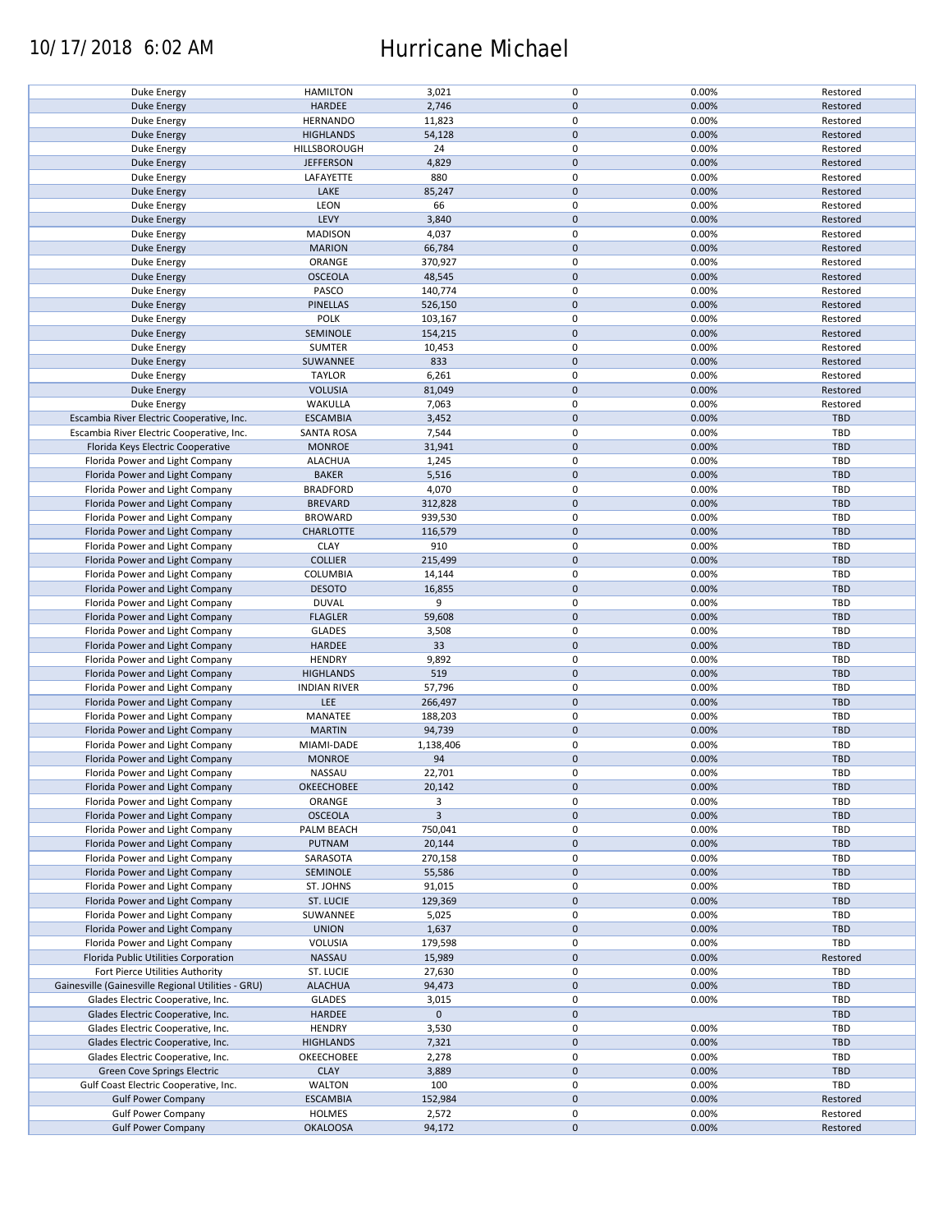### 10/17/2018 6:02 AM Hurricane Michael

| Duke Energy                                        | <b>HAMILTON</b>     | 3,021          | 0                   | 0.00% | Restored   |
|----------------------------------------------------|---------------------|----------------|---------------------|-------|------------|
| <b>Duke Energy</b>                                 | HARDEE              | 2,746          | $\mathbf 0$         | 0.00% | Restored   |
|                                                    |                     |                |                     |       |            |
| Duke Energy                                        | <b>HERNANDO</b>     | 11,823         | 0                   | 0.00% | Restored   |
| <b>Duke Energy</b>                                 | <b>HIGHLANDS</b>    | 54,128         | $\mathbf 0$         | 0.00% | Restored   |
|                                                    |                     | 24             | 0                   | 0.00% |            |
| Duke Energy                                        | HILLSBOROUGH        |                |                     |       | Restored   |
| <b>Duke Energy</b>                                 | <b>JEFFERSON</b>    | 4,829          | $\mathbf 0$         | 0.00% | Restored   |
| Duke Energy                                        | LAFAYETTE           | 880            | 0                   | 0.00% | Restored   |
|                                                    |                     |                | $\mathbf 0$         |       |            |
| <b>Duke Energy</b>                                 | LAKE                | 85,247         |                     | 0.00% | Restored   |
| Duke Energy                                        | LEON                | 66             | 0                   | 0.00% | Restored   |
| Duke Energy                                        | LEVY                | 3,840          | $\mathbf 0$         | 0.00% | Restored   |
|                                                    |                     |                |                     |       |            |
| Duke Energy                                        | <b>MADISON</b>      | 4,037          | 0                   | 0.00% | Restored   |
| <b>Duke Energy</b>                                 | <b>MARION</b>       | 66,784         | $\mathbf 0$         | 0.00% | Restored   |
| Duke Energy                                        | ORANGE              | 370,927        | 0                   | 0.00% | Restored   |
|                                                    |                     |                |                     |       |            |
| Duke Energy                                        | <b>OSCEOLA</b>      | 48,545         | $\mathbf 0$         | 0.00% | Restored   |
| Duke Energy                                        | PASCO               | 140,774        | 0                   | 0.00% | Restored   |
| <b>Duke Energy</b>                                 | <b>PINELLAS</b>     | 526,150        | $\mathbf 0$         | 0.00% | Restored   |
|                                                    |                     |                |                     |       |            |
| Duke Energy                                        | <b>POLK</b>         | 103,167        | $\pmb{0}$           | 0.00% | Restored   |
| <b>Duke Energy</b>                                 | SEMINOLE            | 154,215        | $\pmb{0}$           | 0.00% | Restored   |
|                                                    |                     |                |                     |       |            |
| Duke Energy                                        | SUMTER              | 10,453         | $\pmb{0}$           | 0.00% | Restored   |
| <b>Duke Energy</b>                                 | SUWANNEE            | 833            | $\pmb{0}$           | 0.00% | Restored   |
| Duke Energy                                        | <b>TAYLOR</b>       | 6,261          | $\pmb{0}$           | 0.00% | Restored   |
|                                                    |                     |                |                     |       |            |
| <b>Duke Energy</b>                                 | <b>VOLUSIA</b>      | 81,049         | $\pmb{0}$           | 0.00% | Restored   |
| Duke Energy                                        | WAKULLA             | 7,063          | 0                   | 0.00% | Restored   |
|                                                    | <b>ESCAMBIA</b>     |                | $\pmb{0}$           |       |            |
| Escambia River Electric Cooperative, Inc.          |                     | 3,452          |                     | 0.00% | <b>TBD</b> |
| Escambia River Electric Cooperative, Inc.          | <b>SANTA ROSA</b>   | 7,544          | 0                   | 0.00% | TBD        |
| Florida Keys Electric Cooperative                  | <b>MONROE</b>       | 31,941         | $\pmb{0}$           | 0.00% | <b>TBD</b> |
|                                                    |                     |                |                     |       |            |
| Florida Power and Light Company                    | <b>ALACHUA</b>      | 1,245          | $\pmb{0}$           | 0.00% | TBD        |
| Florida Power and Light Company                    | <b>BAKER</b>        | 5,516          | $\pmb{0}$           | 0.00% | <b>TBD</b> |
| Florida Power and Light Company                    | <b>BRADFORD</b>     | 4,070          | 0                   | 0.00% | TBD        |
|                                                    |                     |                |                     |       |            |
| Florida Power and Light Company                    | <b>BREVARD</b>      | 312,828        | $\mathsf{O}\xspace$ | 0.00% | <b>TBD</b> |
| Florida Power and Light Company                    | <b>BROWARD</b>      | 939,530        | 0                   | 0.00% | TBD        |
| Florida Power and Light Company                    | <b>CHARLOTTE</b>    | 116,579        | $\pmb{0}$           | 0.00% | <b>TBD</b> |
|                                                    |                     |                |                     |       |            |
| Florida Power and Light Company                    | <b>CLAY</b>         | 910            | 0                   | 0.00% | <b>TBD</b> |
| Florida Power and Light Company                    | <b>COLLIER</b>      | 215,499        | $\mathsf{O}\xspace$ | 0.00% | <b>TBD</b> |
|                                                    |                     |                |                     |       |            |
| Florida Power and Light Company                    | COLUMBIA            | 14,144         | 0                   | 0.00% | TBD        |
| Florida Power and Light Company                    | <b>DESOTO</b>       | 16,855         | $\pmb{0}$           | 0.00% | <b>TBD</b> |
| Florida Power and Light Company                    | <b>DUVAL</b>        | 9              | 0                   | 0.00% | TBD        |
|                                                    |                     |                |                     |       |            |
| Florida Power and Light Company                    | <b>FLAGLER</b>      | 59,608         | $\pmb{0}$           | 0.00% | <b>TBD</b> |
| Florida Power and Light Company                    | <b>GLADES</b>       | 3,508          | $\pmb{0}$           | 0.00% | TBD        |
| Florida Power and Light Company                    | HARDEE              | 33             | $\mathbf 0$         | 0.00% | <b>TBD</b> |
|                                                    |                     |                |                     |       |            |
| Florida Power and Light Company                    | <b>HENDRY</b>       | 9,892          | $\pmb{0}$           | 0.00% | TBD        |
| Florida Power and Light Company                    | <b>HIGHLANDS</b>    | 519            | $\mathbf 0$         | 0.00% | <b>TBD</b> |
|                                                    |                     |                |                     |       |            |
| Florida Power and Light Company                    | <b>INDIAN RIVER</b> | 57,796         | $\pmb{0}$           | 0.00% | TBD        |
| Florida Power and Light Company                    | LEE                 | 266,497        | $\mathbf 0$         | 0.00% | <b>TBD</b> |
| Florida Power and Light Company                    | MANATEE             | 188,203        | 0                   | 0.00% | TBD        |
|                                                    |                     |                |                     |       |            |
| Florida Power and Light Company                    | <b>MARTIN</b>       | 94,739         | $\mathbf 0$         | 0.00% | <b>TBD</b> |
| Florida Power and Light Company                    | MIAMI-DADE          | 1,138,406      | 0                   | 0.00% | TBD        |
| Florida Power and Light Company                    | <b>MONROE</b>       | 94             | $\mathbf 0$         | 0.00% | <b>TBD</b> |
|                                                    |                     |                |                     |       |            |
| Florida Power and Light Company                    | <b>NASSAU</b>       | 22,701         | 0                   | 0.00% | TBD        |
| Florida Power and Light Company                    | OKEECHOBEE          | 20,142         | $\pmb{0}$           | 0.00% | <b>TBD</b> |
|                                                    |                     |                |                     |       |            |
| Florida Power and Light Company                    | ORANGE              | 3              | 0                   | 0.00% | TBD        |
| Florida Power and Light Company                    | <b>OSCEOLA</b>      | $\overline{3}$ | $\mathbf 0$         | 0.00% | <b>TBD</b> |
| Florida Power and Light Company                    | PALM BEACH          | 750,041        | 0                   | 0.00% | TBD        |
|                                                    |                     |                |                     |       |            |
| Florida Power and Light Company                    | <b>PUTNAM</b>       | 20,144         | $\mathsf{O}\xspace$ | 0.00% | <b>TBD</b> |
| Florida Power and Light Company                    | SARASOTA            | 270,158        | 0                   | 0.00% | TBD        |
| Florida Power and Light Company                    | SEMINOLE            |                | $\mathsf{O}\xspace$ | 0.00% | <b>TBD</b> |
|                                                    |                     | 55,586         |                     |       |            |
| Florida Power and Light Company                    | ST. JOHNS           | 91,015         | 0                   | 0.00% | TBD        |
| Florida Power and Light Company                    | ST. LUCIE           | 129,369        | $\mathsf{O}\xspace$ | 0.00% | <b>TBD</b> |
|                                                    |                     |                |                     |       |            |
| Florida Power and Light Company                    | SUWANNEE            | 5,025          | 0                   | 0.00% | TBD        |
| Florida Power and Light Company                    | <b>UNION</b>        | 1,637          | $\pmb{0}$           | 0.00% | <b>TBD</b> |
| Florida Power and Light Company                    | VOLUSIA             | 179,598        | 0                   | 0.00% | TBD        |
|                                                    |                     |                |                     |       |            |
| Florida Public Utilities Corporation               | NASSAU              | 15,989         | $\mathsf{O}\xspace$ | 0.00% | Restored   |
| Fort Pierce Utilities Authority                    | ST. LUCIE           | 27,630         | 0                   | 0.00% | TBD        |
| Gainesville (Gainesville Regional Utilities - GRU) | <b>ALACHUA</b>      | 94,473         | $\pmb{0}$           | 0.00% | <b>TBD</b> |
|                                                    |                     |                |                     |       |            |
| Glades Electric Cooperative, Inc.                  | <b>GLADES</b>       | 3,015          | 0                   | 0.00% | TBD        |
| Glades Electric Cooperative, Inc.                  | HARDEE              | $\mathbf 0$    | $\pmb{0}$           |       | <b>TBD</b> |
|                                                    |                     |                |                     |       | <b>TBD</b> |
| Glades Electric Cooperative, Inc.                  | <b>HENDRY</b>       | 3,530          | 0                   | 0.00% |            |
| Glades Electric Cooperative, Inc.                  | <b>HIGHLANDS</b>    | 7,321          | $\pmb{0}$           | 0.00% | TBD        |
| Glades Electric Cooperative, Inc.                  | OKEECHOBEE          | 2,278          | 0                   | 0.00% | <b>TBD</b> |
|                                                    |                     |                |                     |       |            |
| Green Cove Springs Electric                        | <b>CLAY</b>         | 3,889          | $\mathsf{O}\xspace$ | 0.00% | TBD        |
| Gulf Coast Electric Cooperative, Inc.              | <b>WALTON</b>       | 100            | 0                   | 0.00% | TBD        |
| <b>Gulf Power Company</b>                          | <b>ESCAMBIA</b>     | 152,984        | $\pmb{0}$           | 0.00% | Restored   |
|                                                    |                     |                |                     |       |            |
| <b>Gulf Power Company</b>                          | <b>HOLMES</b>       | 2,572          | 0                   | 0.00% | Restored   |
| <b>Gulf Power Company</b>                          | <b>OKALOOSA</b>     | 94,172         | $\mathsf{O}\xspace$ | 0.00% | Restored   |
|                                                    |                     |                |                     |       |            |